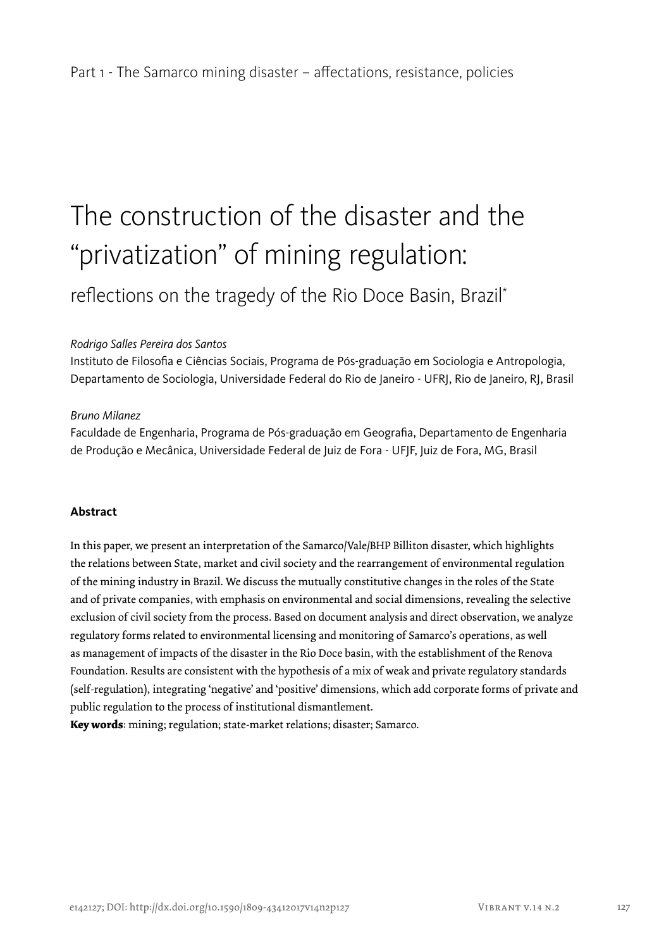# The construction of the disaster and the "privatization" of mining regulation:

# reflections on the tragedy of the Rio Doce Basin, Brazil\*

# *Rodrigo Salles Pereira dos Santos*

Instituto de Filosofia e Ciências Sociais, Programa de Pós-graduação em Sociologia e Antropologia, Departamento de Sociologia, Universidade Federal do Rio de Janeiro - UFRJ, Rio de Janeiro, RJ, Brasil

# *Bruno Milanez*

Faculdade de Engenharia, Programa de Pós-graduação em Geografia, Departamento de Engenharia de Produção e Mecânica, Universidade Federal de Juiz de Fora - UFJF, Juiz de Fora, MG, Brasil

# **Abstract**

In this paper, we present an interpretation of the Samarco/Vale/BHP Billiton disaster, which highlights the relations between State, market and civil society and the rearrangement of environmental regulation of the mining industry in Brazil. We discuss the mutually constitutive changes in the roles of the State and of private companies, with emphasis on environmental and social dimensions, revealing the selective exclusion of civil society from the process. Based on document analysis and direct observation, we analyze regulatory forms related to environmental licensing and monitoring of Samarco's operations, as well as management of impacts of the disaster in the Rio Doce basin, with the establishment of the Renova Foundation. Results are consistent with the hypothesis of a mix of weak and private regulatory standards (self-regulation), integrating 'negative' and 'positive' dimensions, which add corporate forms of private and public regulation to the process of institutional dismantlement.

**Key words**: mining; regulation; state-market relations; disaster; Samarco.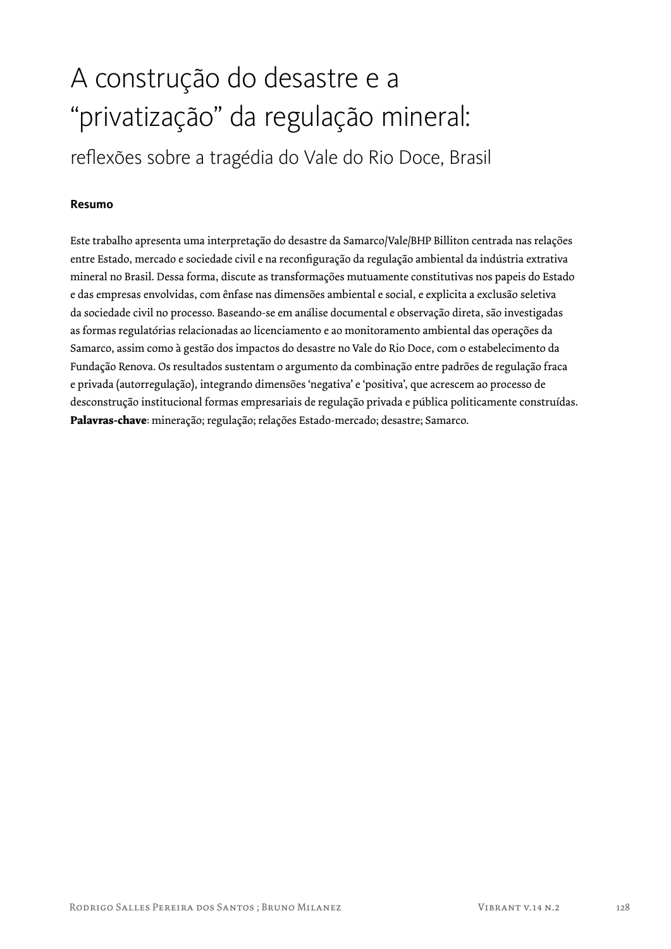# A construção do desastre e a "privatização" da regulação mineral: reflexões sobre a tragédia do Vale do Rio Doce, Brasil

## **Resumo**

Este trabalho apresenta uma interpretação do desastre da Samarco/Vale/BHP Billiton centrada nas relações entre Estado, mercado e sociedade civil e na reconfiguração da regulação ambiental da indústria extrativa mineral no Brasil. Dessa forma, discute as transformações mutuamente constitutivas nos papeis do Estado e das empresas envolvidas, com ênfase nas dimensões ambiental e social, e explicita a exclusão seletiva da sociedade civil no processo. Baseando-se em análise documental e observação direta, são investigadas as formas regulatórias relacionadas ao licenciamento e ao monitoramento ambiental das operações da Samarco, assim como à gestão dos impactos do desastre no Vale do Rio Doce, com o estabelecimento da Fundação Renova. Os resultados sustentam o argumento da combinação entre padrões de regulação fraca e privada (autorregulação), integrando dimensões 'negativa' e 'positiva', que acrescem ao processo de desconstrução institucional formas empresariais de regulação privada e pública politicamente construídas. **Palavras-chave**: mineração; regulação; relações Estado-mercado; desastre; Samarco.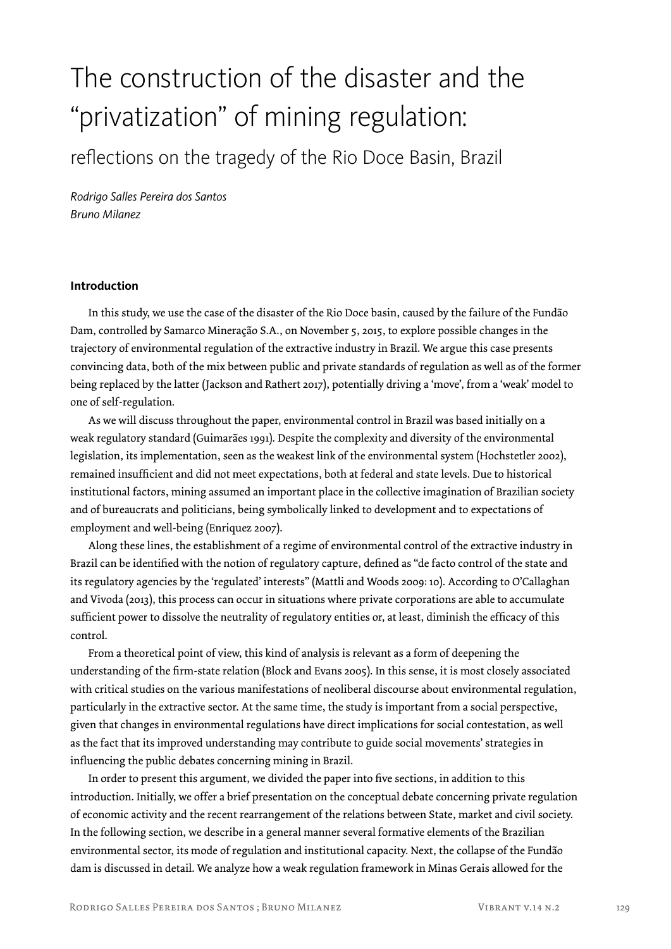# The construction of the disaster and the "privatization" of mining regulation:

# reflections on the tragedy of the Rio Doce Basin, Brazil

*Rodrigo Salles Pereira dos Santos Bruno Milanez*

### **Introduction**

In this study, we use the case of the disaster of the Rio Doce basin, caused by the failure of the Fundão Dam, controlled by Samarco Mineração S.A., on November 5, 2015, to explore possible changes in the trajectory of environmental regulation of the extractive industry in Brazil. We argue this case presents convincing data, both of the mix between public and private standards of regulation as well as of the former being replaced by the latter (Jackson and Rathert 2017), potentially driving a 'move', from a 'weak' model to one of self-regulation.

As we will discuss throughout the paper, environmental control in Brazil was based initially on a weak regulatory standard (Guimarães 1991). Despite the complexity and diversity of the environmental legislation, its implementation, seen as the weakest link of the environmental system (Hochstetler 2002), remained insufficient and did not meet expectations, both at federal and state levels. Due to historical institutional factors, mining assumed an important place in the collective imagination of Brazilian society and of bureaucrats and politicians, being symbolically linked to development and to expectations of employment and well-being (Enriquez 2007).

Along these lines, the establishment of a regime of environmental control of the extractive industry in Brazil can be identified with the notion of regulatory capture, defined as "de facto control of the state and its regulatory agencies by the 'regulated' interests" (Mattli and Woods 2009: 10). According to O'Callaghan and Vivoda (2013), this process can occur in situations where private corporations are able to accumulate sufficient power to dissolve the neutrality of regulatory entities or, at least, diminish the efficacy of this control.

From a theoretical point of view, this kind of analysis is relevant as a form of deepening the understanding of the firm-state relation (Block and Evans 2005). In this sense, it is most closely associated with critical studies on the various manifestations of neoliberal discourse about environmental regulation, particularly in the extractive sector. At the same time, the study is important from a social perspective, given that changes in environmental regulations have direct implications for social contestation, as well as the fact that its improved understanding may contribute to guide social movements' strategies in influencing the public debates concerning mining in Brazil.

In order to present this argument, we divided the paper into five sections, in addition to this introduction. Initially, we offer a brief presentation on the conceptual debate concerning private regulation of economic activity and the recent rearrangement of the relations between State, market and civil society. In the following section, we describe in a general manner several formative elements of the Brazilian environmental sector, its mode of regulation and institutional capacity. Next, the collapse of the Fundão dam is discussed in detail. We analyze how a weak regulation framework in Minas Gerais allowed for the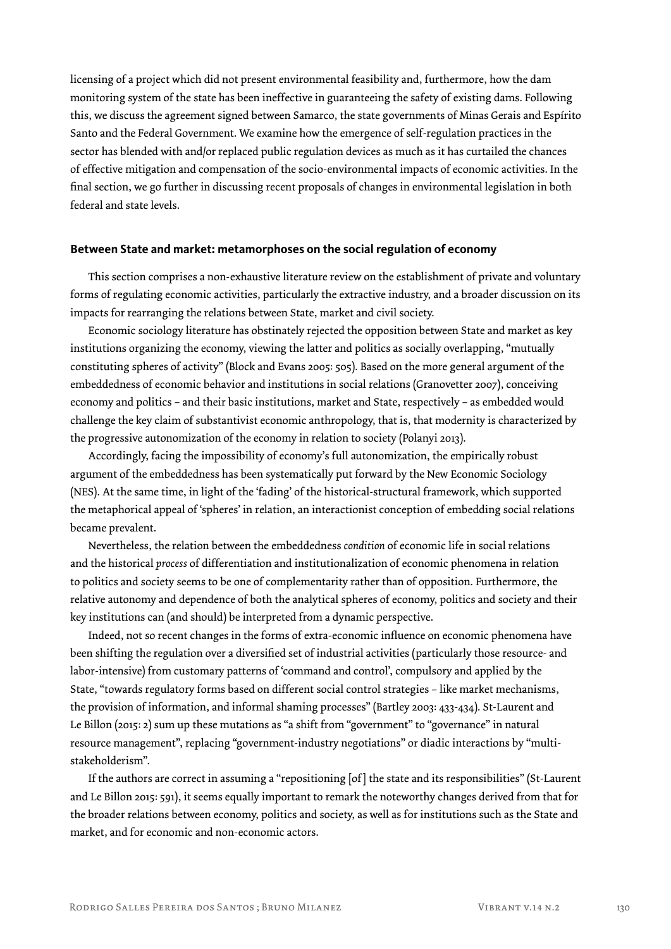licensing of a project which did not present environmental feasibility and, furthermore, how the dam monitoring system of the state has been ineffective in guaranteeing the safety of existing dams. Following this, we discuss the agreement signed between Samarco, the state governments of Minas Gerais and Espírito Santo and the Federal Government. We examine how the emergence of self-regulation practices in the sector has blended with and/or replaced public regulation devices as much as it has curtailed the chances of effective mitigation and compensation of the socio-environmental impacts of economic activities. In the final section, we go further in discussing recent proposals of changes in environmental legislation in both federal and state levels.

#### **Between State and market: metamorphoses on the social regulation of economy**

This section comprises a non-exhaustive literature review on the establishment of private and voluntary forms of regulating economic activities, particularly the extractive industry, and a broader discussion on its impacts for rearranging the relations between State, market and civil society.

Economic sociology literature has obstinately rejected the opposition between State and market as key institutions organizing the economy, viewing the latter and politics as socially overlapping, "mutually constituting spheres of activity" (Block and Evans 2005: 505). Based on the more general argument of the embeddedness of economic behavior and institutions in social relations (Granovetter 2007), conceiving economy and politics – and their basic institutions, market and State, respectively – as embedded would challenge the key claim of substantivist economic anthropology, that is, that modernity is characterized by the progressive autonomization of the economy in relation to society (Polanyi 2013).

Accordingly, facing the impossibility of economy's full autonomization, the empirically robust argument of the embeddedness has been systematically put forward by the New Economic Sociology (NES). At the same time, in light of the 'fading' of the historical-structural framework, which supported the metaphorical appeal of 'spheres' in relation, an interactionist conception of embedding social relations became prevalent.

Nevertheless, the relation between the embeddedness *condition* of economic life in social relations and the historical *process* of differentiation and institutionalization of economic phenomena in relation to politics and society seems to be one of complementarity rather than of opposition. Furthermore, the relative autonomy and dependence of both the analytical spheres of economy, politics and society and their key institutions can (and should) be interpreted from a dynamic perspective.

Indeed, not so recent changes in the forms of extra-economic influence on economic phenomena have been shifting the regulation over a diversified set of industrial activities (particularly those resource- and labor-intensive) from customary patterns of 'command and control', compulsory and applied by the State, "towards regulatory forms based on different social control strategies – like market mechanisms, the provision of information, and informal shaming processes" (Bartley 2003: 433-434). St-Laurent and Le Billon (2015: 2) sum up these mutations as "a shift from "government" to "governance" in natural resource management", replacing "government-industry negotiations" or diadic interactions by "multistakeholderism".

If the authors are correct in assuming a "repositioning [of ] the state and its responsibilities" (St-Laurent and Le Billon 2015: 591), it seems equally important to remark the noteworthy changes derived from that for the broader relations between economy, politics and society, as well as for institutions such as the State and market, and for economic and non-economic actors.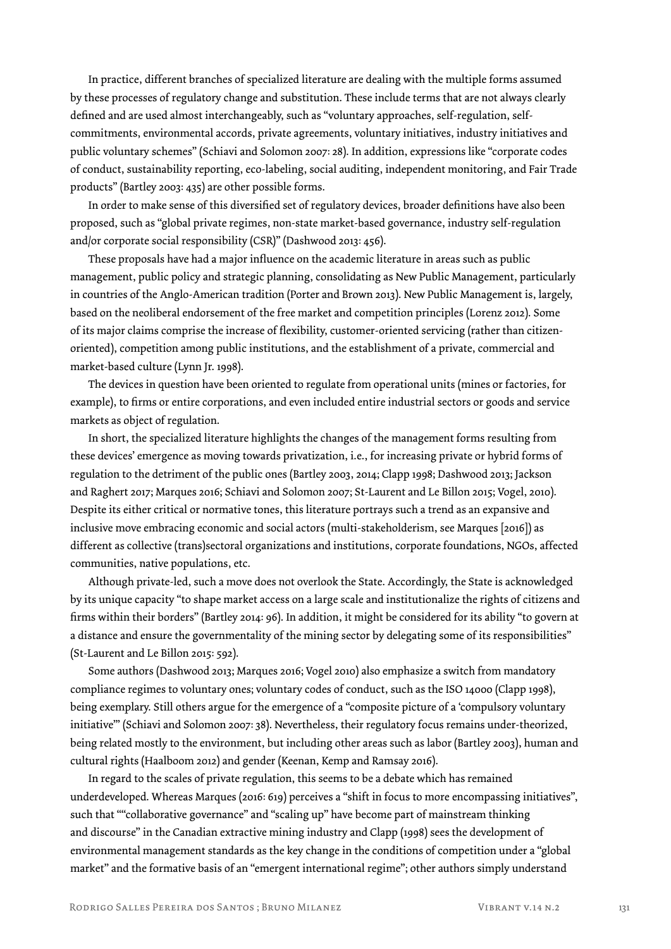In practice, different branches of specialized literature are dealing with the multiple forms assumed by these processes of regulatory change and substitution. These include terms that are not always clearly defined and are used almost interchangeably, such as "voluntary approaches, self-regulation, selfcommitments, environmental accords, private agreements, voluntary initiatives, industry initiatives and public voluntary schemes" (Schiavi and Solomon 2007: 28). In addition, expressions like "corporate codes of conduct, sustainability reporting, eco-labeling, social auditing, independent monitoring, and Fair Trade products" (Bartley 2003: 435) are other possible forms.

In order to make sense of this diversified set of regulatory devices, broader definitions have also been proposed, such as "global private regimes, non-state market-based governance, industry self-regulation and/or corporate social responsibility (CSR)" (Dashwood 2013: 456).

These proposals have had a major influence on the academic literature in areas such as public management, public policy and strategic planning, consolidating as New Public Management, particularly in countries of the Anglo-American tradition (Porter and Brown 2013). New Public Management is, largely, based on the neoliberal endorsement of the free market and competition principles (Lorenz 2012). Some of its major claims comprise the increase of flexibility, customer-oriented servicing (rather than citizenoriented), competition among public institutions, and the establishment of a private, commercial and market-based culture (Lynn Jr. 1998).

The devices in question have been oriented to regulate from operational units (mines or factories, for example), to firms or entire corporations, and even included entire industrial sectors or goods and service markets as object of regulation.

In short, the specialized literature highlights the changes of the management forms resulting from these devices' emergence as moving towards privatization, i.e., for increasing private or hybrid forms of regulation to the detriment of the public ones (Bartley 2003, 2014; Clapp 1998; Dashwood 2013; Jackson and Raghert 2017; Marques 2016; Schiavi and Solomon 2007; St-Laurent and Le Billon 2015; Vogel, 2010). Despite its either critical or normative tones, this literature portrays such a trend as an expansive and inclusive move embracing economic and social actors (multi-stakeholderism, see Marques [2016]) as different as collective (trans)sectoral organizations and institutions, corporate foundations, NGOs, affected communities, native populations, etc.

Although private-led, such a move does not overlook the State. Accordingly, the State is acknowledged by its unique capacity "to shape market access on a large scale and institutionalize the rights of citizens and firms within their borders" (Bartley 2014: 96). In addition, it might be considered for its ability "to govern at a distance and ensure the governmentality of the mining sector by delegating some of its responsibilities" (St-Laurent and Le Billon 2015: 592).

Some authors (Dashwood 2013; Marques 2016; Vogel 2010) also emphasize a switch from mandatory compliance regimes to voluntary ones; voluntary codes of conduct, such as the ISO 14000 (Clapp 1998), being exemplary. Still others argue for the emergence of a "composite picture of a 'compulsory voluntary initiative'" (Schiavi and Solomon 2007: 38). Nevertheless, their regulatory focus remains under-theorized, being related mostly to the environment, but including other areas such as labor (Bartley 2003), human and cultural rights (Haalboom 2012) and gender (Keenan, Kemp and Ramsay 2016).

In regard to the scales of private regulation, this seems to be a debate which has remained underdeveloped. Whereas Marques (2016: 619) perceives a "shift in focus to more encompassing initiatives", such that ""collaborative governance" and "scaling up" have become part of mainstream thinking and discourse" in the Canadian extractive mining industry and Clapp (1998) sees the development of environmental management standards as the key change in the conditions of competition under a "global market" and the formative basis of an "emergent international regime"; other authors simply understand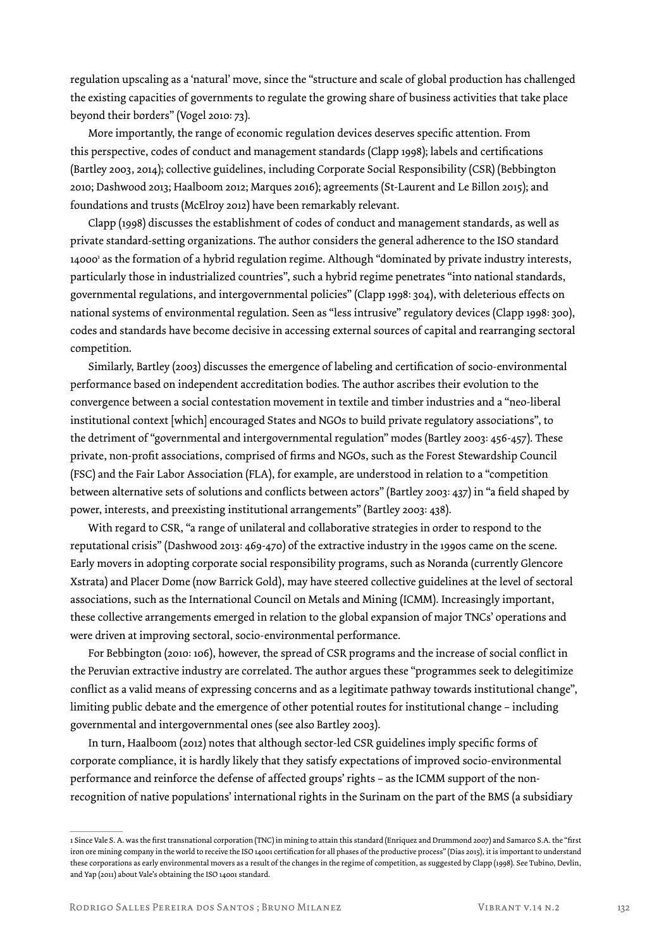regulation upscaling as a 'natural' move, since the "structure and scale of global production has challenged the existing capacities of governments to regulate the growing share of business activities that take place beyond their borders" (Vogel 2010: 73).

More importantly, the range of economic regulation devices deserves specific attention. From this perspective, codes of conduct and management standards (Clapp 1998); labels and certifications (Bartley 2003, 2014); collective guidelines, including Corporate Social Responsibility (CSR) (Bebbington 2010; Dashwood 2013; Haalboom 2012; Marques 2016); agreements (St-Laurent and Le Billon 2015); and foundations and trusts (McElroy 2012) have been remarkably relevant.

Clapp (1998) discusses the establishment of codes of conduct and management standards, as well as private standard-setting organizations. The author considers the general adherence to the ISO standard 14000' as the formation of a hybrid regulation regime. Although "dominated by private industry interests, particularly those in industrialized countries", such a hybrid regime penetrates "into national standards, governmental regulations, and intergovernmental policies" (Clapp 1998: 304), with deleterious effects on national systems of environmental regulation. Seen as "less intrusive" regulatory devices (Clapp 1998: 300), codes and standards have become decisive in accessing external sources of capital and rearranging sectoral competition.

Similarly, Bartley (2003) discusses the emergence of labeling and certification of socio-environmental performance based on independent accreditation bodies. The author ascribes their evolution to the convergence between a social contestation movement in textile and timber industries and a "neo-liberal institutional context [which] encouraged States and NGOs to build private regulatory associations", to the detriment of "governmental and intergovernmental regulation" modes (Bartley 2003: 456-457). These private, non-profit associations, comprised of firms and NGOs, such as the Forest Stewardship Council (FSC) and the Fair Labor Association (FLA), for example, are understood in relation to a "competition between alternative sets of solutions and conflicts between actors" (Bartley 2003: 437) in "a field shaped by power, interests, and preexisting institutional arrangements" (Bartley 2003: 438).

With regard to CSR, "a range of unilateral and collaborative strategies in order to respond to the reputational crisis" (Dashwood 2013: 469-470) of the extractive industry in the 1990s came on the scene. Early movers in adopting corporate social responsibility programs, such as Noranda (currently Glencore Xstrata) and Placer Dome (now Barrick Gold), may have steered collective guidelines at the level of sectoral associations, such as the International Council on Metals and Mining (ICMM). Increasingly important, these collective arrangements emerged in relation to the global expansion of major TNCs' operations and were driven at improving sectoral, socio-environmental performance.

For Bebbington (2010: 106), however, the spread of CSR programs and the increase of social conflict in the Peruvian extractive industry are correlated. The author argues these "programmes seek to delegitimize conflict as a valid means of expressing concerns and as a legitimate pathway towards institutional change", limiting public debate and the emergence of other potential routes for institutional change – including governmental and intergovernmental ones (see also Bartley 2003).

In turn, Haalboom (2012) notes that although sector-led CSR guidelines imply specific forms of corporate compliance, it is hardly likely that they satisfy expectations of improved socio-environmental performance and reinforce the defense of affected groups' rights – as the ICMM support of the nonrecognition of native populations' international rights in the Surinam on the part of the BMS (a subsidiary

<sup>1</sup> Since Vale S. A. was the first transnational corporation (TNC) in mining to attain this standard (Enriquez and Drummond 2007) and Samarco S.A. the "first iron ore mining company in the world to receive the ISO 14001 certification for all phases of the productive process" (Dias 2015), it is important to understand these corporations as early environmental movers as a result of the changes in the regime of competition, as suggested by Clapp (1998). See Tubino, Devlin, and Yap (2011) about Vale's obtaining the ISO 14001 standard.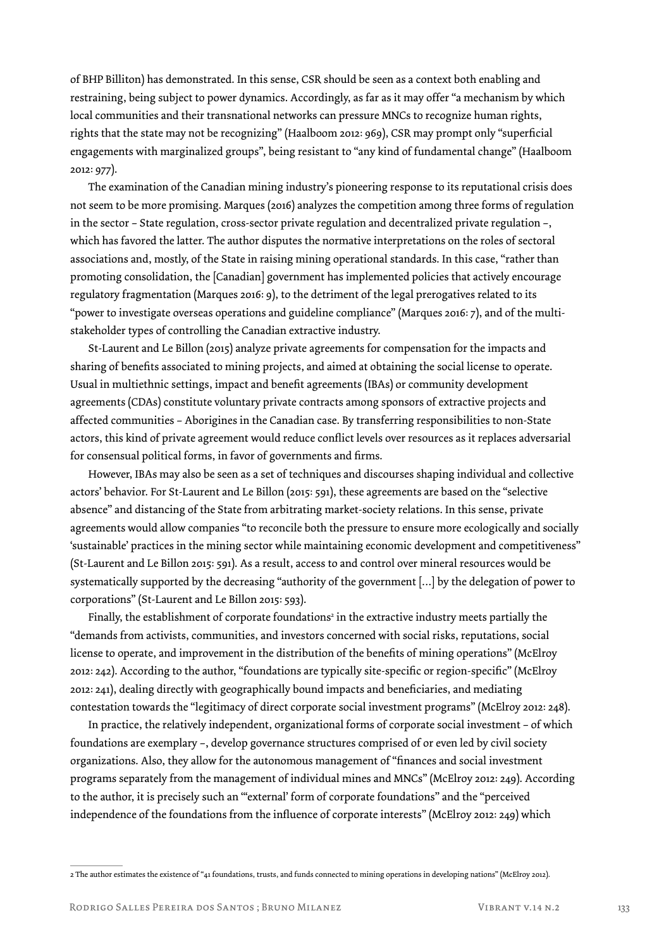of BHP Billiton) has demonstrated. In this sense, CSR should be seen as a context both enabling and restraining, being subject to power dynamics. Accordingly, as far as it may offer "a mechanism by which local communities and their transnational networks can pressure MNCs to recognize human rights, rights that the state may not be recognizing" (Haalboom 2012: 969), CSR may prompt only "superficial engagements with marginalized groups", being resistant to "any kind of fundamental change" (Haalboom 2012: 977).

The examination of the Canadian mining industry's pioneering response to its reputational crisis does not seem to be more promising. Marques (2016) analyzes the competition among three forms of regulation in the sector – State regulation, cross-sector private regulation and decentralized private regulation –, which has favored the latter. The author disputes the normative interpretations on the roles of sectoral associations and, mostly, of the State in raising mining operational standards. In this case, "rather than promoting consolidation, the [Canadian] government has implemented policies that actively encourage regulatory fragmentation (Marques 2016: 9), to the detriment of the legal prerogatives related to its "power to investigate overseas operations and guideline compliance" (Marques 2016: 7), and of the multistakeholder types of controlling the Canadian extractive industry.

St-Laurent and Le Billon (2015) analyze private agreements for compensation for the impacts and sharing of benefits associated to mining projects, and aimed at obtaining the social license to operate. Usual in multiethnic settings, impact and benefit agreements (IBAs) or community development agreements (CDAs) constitute voluntary private contracts among sponsors of extractive projects and affected communities – Aborigines in the Canadian case. By transferring responsibilities to non-State actors, this kind of private agreement would reduce conflict levels over resources as it replaces adversarial for consensual political forms, in favor of governments and firms.

However, IBAs may also be seen as a set of techniques and discourses shaping individual and collective actors' behavior. For St-Laurent and Le Billon (2015: 591), these agreements are based on the "selective absence" and distancing of the State from arbitrating market-society relations. In this sense, private agreements would allow companies "to reconcile both the pressure to ensure more ecologically and socially 'sustainable' practices in the mining sector while maintaining economic development and competitiveness" (St-Laurent and Le Billon 2015: 591). As a result, access to and control over mineral resources would be systematically supported by the decreasing "authority of the government […] by the delegation of power to corporations" (St-Laurent and Le Billon 2015: 593).

Finally, the establishment of corporate foundations<sup>2</sup> in the extractive industry meets partially the "demands from activists, communities, and investors concerned with social risks, reputations, social license to operate, and improvement in the distribution of the benefits of mining operations" (McElroy 2012: 242). According to the author, "foundations are typically site-specific or region-specific" (McElroy 2012: 241), dealing directly with geographically bound impacts and beneficiaries, and mediating contestation towards the "legitimacy of direct corporate social investment programs" (McElroy 2012: 248).

In practice, the relatively independent, organizational forms of corporate social investment – of which foundations are exemplary –, develop governance structures comprised of or even led by civil society organizations. Also, they allow for the autonomous management of "finances and social investment programs separately from the management of individual mines and MNCs" (McElroy 2012: 249). According to the author, it is precisely such an "'external' form of corporate foundations" and the "perceived independence of the foundations from the influence of corporate interests" (McElroy 2012: 249) which

<sup>2</sup> The author estimates the existence of "41 foundations, trusts, and funds connected to mining operations in developing nations" (McElroy 2012).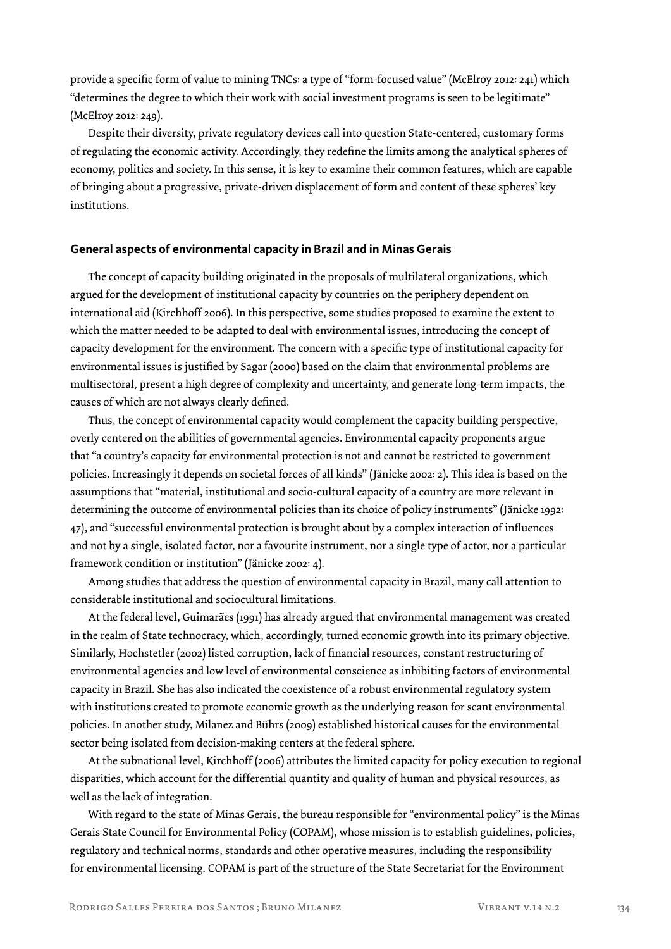provide a specific form of value to mining TNCs: a type of "form-focused value" (McElroy 2012: 241) which "determines the degree to which their work with social investment programs is seen to be legitimate" (McElroy 2012: 249).

Despite their diversity, private regulatory devices call into question State-centered, customary forms of regulating the economic activity. Accordingly, they redefine the limits among the analytical spheres of economy, politics and society. In this sense, it is key to examine their common features, which are capable of bringing about a progressive, private-driven displacement of form and content of these spheres' key institutions.

#### **General aspects of environmental capacity in Brazil and in Minas Gerais**

The concept of capacity building originated in the proposals of multilateral organizations, which argued for the development of institutional capacity by countries on the periphery dependent on international aid (Kirchhoff 2006). In this perspective, some studies proposed to examine the extent to which the matter needed to be adapted to deal with environmental issues, introducing the concept of capacity development for the environment. The concern with a specific type of institutional capacity for environmental issues is justified by Sagar (2000) based on the claim that environmental problems are multisectoral, present a high degree of complexity and uncertainty, and generate long-term impacts, the causes of which are not always clearly defined.

Thus, the concept of environmental capacity would complement the capacity building perspective, overly centered on the abilities of governmental agencies. Environmental capacity proponents argue that "a country's capacity for environmental protection is not and cannot be restricted to government policies. Increasingly it depends on societal forces of all kinds" (Jänicke 2002: 2). This idea is based on the assumptions that "material, institutional and socio-cultural capacity of a country are more relevant in determining the outcome of environmental policies than its choice of policy instruments" (Jänicke 1992: 47), and "successful environmental protection is brought about by a complex interaction of influences and not by a single, isolated factor, nor a favourite instrument, nor a single type of actor, nor a particular framework condition or institution" (Jänicke 2002: 4).

Among studies that address the question of environmental capacity in Brazil, many call attention to considerable institutional and sociocultural limitations.

At the federal level, Guimarães (1991) has already argued that environmental management was created in the realm of State technocracy, which, accordingly, turned economic growth into its primary objective. Similarly, Hochstetler (2002) listed corruption, lack of financial resources, constant restructuring of environmental agencies and low level of environmental conscience as inhibiting factors of environmental capacity in Brazil. She has also indicated the coexistence of a robust environmental regulatory system with institutions created to promote economic growth as the underlying reason for scant environmental policies. In another study, Milanez and Bührs (2009) established historical causes for the environmental sector being isolated from decision-making centers at the federal sphere.

At the subnational level, Kirchhoff (2006) attributes the limited capacity for policy execution to regional disparities, which account for the differential quantity and quality of human and physical resources, as well as the lack of integration.

With regard to the state of Minas Gerais, the bureau responsible for "environmental policy" is the Minas Gerais State Council for Environmental Policy (COPAM), whose mission is to establish guidelines, policies, regulatory and technical norms, standards and other operative measures, including the responsibility for environmental licensing. COPAM is part of the structure of the State Secretariat for the Environment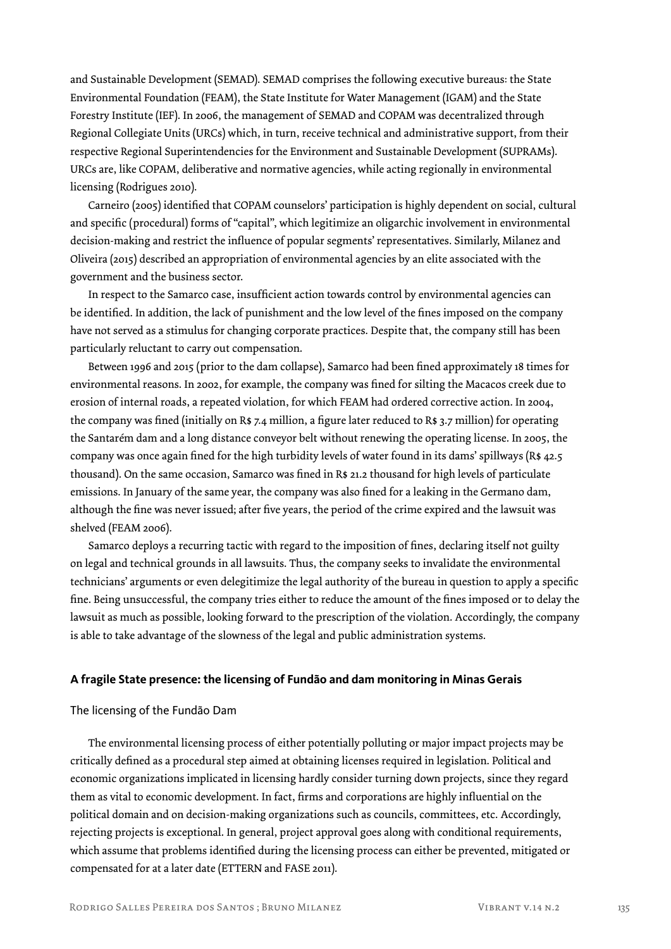and Sustainable Development (SEMAD). SEMAD comprises the following executive bureaus: the State Environmental Foundation (FEAM), the State Institute for Water Management (IGAM) and the State Forestry Institute (IEF). In 2006, the management of SEMAD and COPAM was decentralized through Regional Collegiate Units (URCs) which, in turn, receive technical and administrative support, from their respective Regional Superintendencies for the Environment and Sustainable Development (SUPRAMs). URCs are, like COPAM, deliberative and normative agencies, while acting regionally in environmental licensing (Rodrigues 2010).

Carneiro (2005) identified that COPAM counselors' participation is highly dependent on social, cultural and specific (procedural) forms of "capital", which legitimize an oligarchic involvement in environmental decision-making and restrict the influence of popular segments' representatives. Similarly, Milanez and Oliveira (2015) described an appropriation of environmental agencies by an elite associated with the government and the business sector.

In respect to the Samarco case, insufficient action towards control by environmental agencies can be identified. In addition, the lack of punishment and the low level of the fines imposed on the company have not served as a stimulus for changing corporate practices. Despite that, the company still has been particularly reluctant to carry out compensation.

Between 1996 and 2015 (prior to the dam collapse), Samarco had been fined approximately 18 times for environmental reasons. In 2002, for example, the company was fined for silting the Macacos creek due to erosion of internal roads, a repeated violation, for which FEAM had ordered corrective action. In 2004, the company was fined (initially on R\$ 7.4 million, a figure later reduced to R\$ 3.7 million) for operating the Santarém dam and a long distance conveyor belt without renewing the operating license. In 2005, the company was once again fined for the high turbidity levels of water found in its dams' spillways (R\$ 42.5 thousand). On the same occasion, Samarco was fined in R\$ 21.2 thousand for high levels of particulate emissions. In January of the same year, the company was also fined for a leaking in the Germano dam, although the fine was never issued; after five years, the period of the crime expired and the lawsuit was shelved (FEAM 2006).

Samarco deploys a recurring tactic with regard to the imposition of fines, declaring itself not guilty on legal and technical grounds in all lawsuits. Thus, the company seeks to invalidate the environmental technicians' arguments or even delegitimize the legal authority of the bureau in question to apply a specific fine. Being unsuccessful, the company tries either to reduce the amount of the fines imposed or to delay the lawsuit as much as possible, looking forward to the prescription of the violation. Accordingly, the company is able to take advantage of the slowness of the legal and public administration systems.

#### **A fragile State presence: the licensing of Fundão and dam monitoring in Minas Gerais**

The licensing of the Fundão Dam

The environmental licensing process of either potentially polluting or major impact projects may be critically defined as a procedural step aimed at obtaining licenses required in legislation. Political and economic organizations implicated in licensing hardly consider turning down projects, since they regard them as vital to economic development. In fact, firms and corporations are highly influential on the political domain and on decision-making organizations such as councils, committees, etc. Accordingly, rejecting projects is exceptional. In general, project approval goes along with conditional requirements, which assume that problems identified during the licensing process can either be prevented, mitigated or compensated for at a later date (ETTERN and FASE 2011).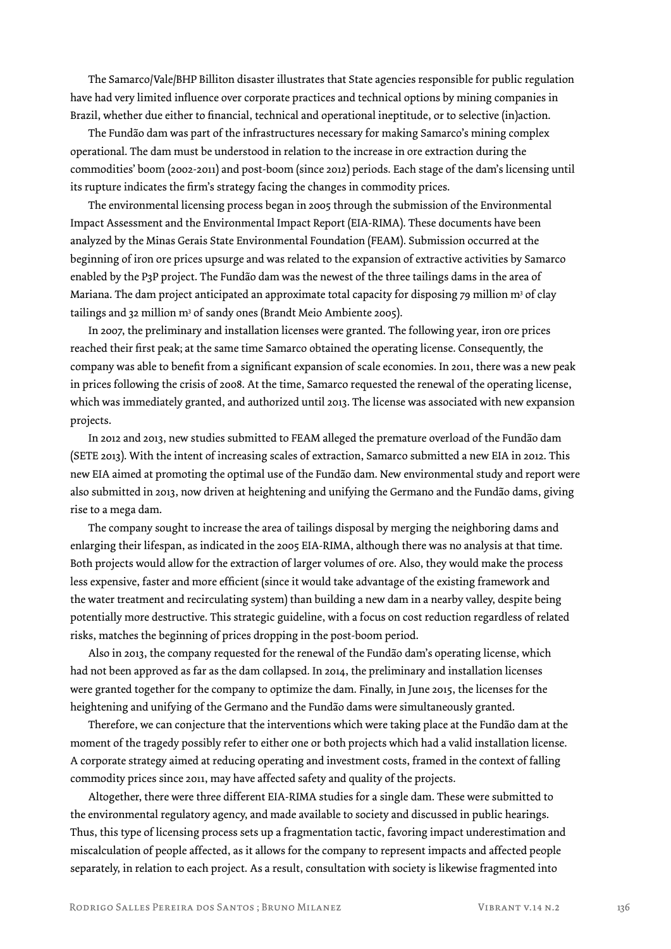The Samarco/Vale/BHP Billiton disaster illustrates that State agencies responsible for public regulation have had very limited influence over corporate practices and technical options by mining companies in Brazil, whether due either to financial, technical and operational ineptitude, or to selective (in)action.

The Fundão dam was part of the infrastructures necessary for making Samarco's mining complex operational. The dam must be understood in relation to the increase in ore extraction during the commodities' boom (2002-2011) and post-boom (since 2012) periods. Each stage of the dam's licensing until its rupture indicates the firm's strategy facing the changes in commodity prices.

The environmental licensing process began in 2005 through the submission of the Environmental Impact Assessment and the Environmental Impact Report (EIA-RIMA). These documents have been analyzed by the Minas Gerais State Environmental Foundation (FEAM). Submission occurred at the beginning of iron ore prices upsurge and was related to the expansion of extractive activities by Samarco enabled by the P3P project. The Fundão dam was the newest of the three tailings dams in the area of Mariana. The dam project anticipated an approximate total capacity for disposing 79 million m<sup>3</sup> of clay tailings and 32 million m<sup>3</sup> of sandy ones (Brandt Meio Ambiente 2005).

In 2007, the preliminary and installation licenses were granted. The following year, iron ore prices reached their first peak; at the same time Samarco obtained the operating license. Consequently, the company was able to benefit from a significant expansion of scale economies. In 2011, there was a new peak in prices following the crisis of 2008. At the time, Samarco requested the renewal of the operating license, which was immediately granted, and authorized until 2013. The license was associated with new expansion projects.

In 2012 and 2013, new studies submitted to FEAM alleged the premature overload of the Fundão dam (SETE 2013). With the intent of increasing scales of extraction, Samarco submitted a new EIA in 2012. This new EIA aimed at promoting the optimal use of the Fundão dam. New environmental study and report were also submitted in 2013, now driven at heightening and unifying the Germano and the Fundão dams, giving rise to a mega dam.

The company sought to increase the area of tailings disposal by merging the neighboring dams and enlarging their lifespan, as indicated in the 2005 EIA-RIMA, although there was no analysis at that time. Both projects would allow for the extraction of larger volumes of ore. Also, they would make the process less expensive, faster and more efficient (since it would take advantage of the existing framework and the water treatment and recirculating system) than building a new dam in a nearby valley, despite being potentially more destructive. This strategic guideline, with a focus on cost reduction regardless of related risks, matches the beginning of prices dropping in the post-boom period.

Also in 2013, the company requested for the renewal of the Fundão dam's operating license, which had not been approved as far as the dam collapsed. In 2014, the preliminary and installation licenses were granted together for the company to optimize the dam. Finally, in June 2015, the licenses for the heightening and unifying of the Germano and the Fundão dams were simultaneously granted.

Therefore, we can conjecture that the interventions which were taking place at the Fundão dam at the moment of the tragedy possibly refer to either one or both projects which had a valid installation license. A corporate strategy aimed at reducing operating and investment costs, framed in the context of falling commodity prices since 2011, may have affected safety and quality of the projects.

Altogether, there were three different EIA-RIMA studies for a single dam. These were submitted to the environmental regulatory agency, and made available to society and discussed in public hearings. Thus, this type of licensing process sets up a fragmentation tactic, favoring impact underestimation and miscalculation of people affected, as it allows for the company to represent impacts and affected people separately, in relation to each project. As a result, consultation with society is likewise fragmented into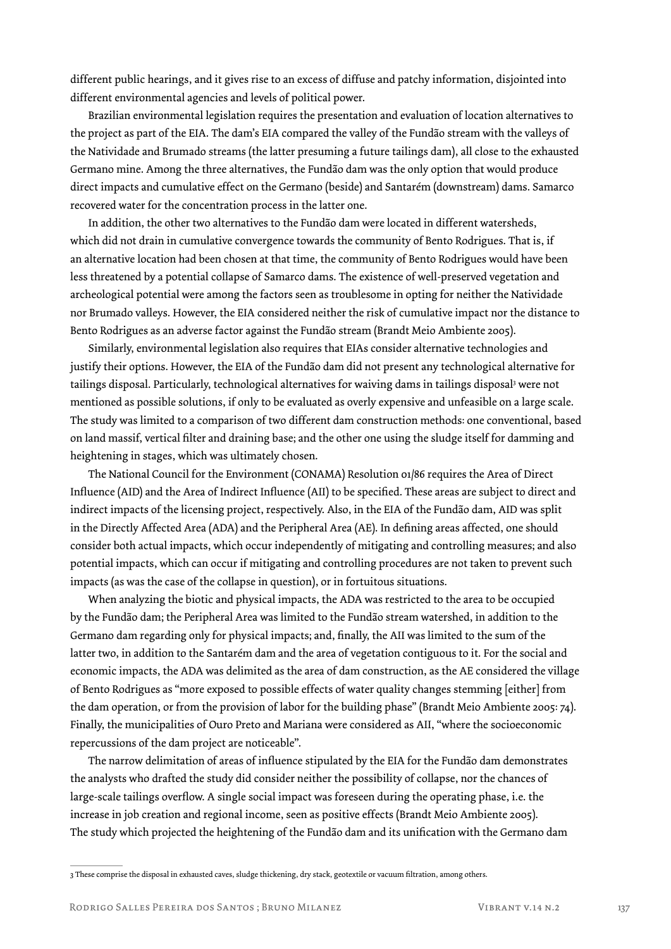different public hearings, and it gives rise to an excess of diffuse and patchy information, disjointed into different environmental agencies and levels of political power.

Brazilian environmental legislation requires the presentation and evaluation of location alternatives to the project as part of the EIA. The dam's EIA compared the valley of the Fundão stream with the valleys of the Natividade and Brumado streams (the latter presuming a future tailings dam), all close to the exhausted Germano mine. Among the three alternatives, the Fundão dam was the only option that would produce direct impacts and cumulative effect on the Germano (beside) and Santarém (downstream) dams. Samarco recovered water for the concentration process in the latter one.

In addition, the other two alternatives to the Fundão dam were located in different watersheds, which did not drain in cumulative convergence towards the community of Bento Rodrigues. That is, if an alternative location had been chosen at that time, the community of Bento Rodrigues would have been less threatened by a potential collapse of Samarco dams. The existence of well-preserved vegetation and archeological potential were among the factors seen as troublesome in opting for neither the Natividade nor Brumado valleys. However, the EIA considered neither the risk of cumulative impact nor the distance to Bento Rodrigues as an adverse factor against the Fundão stream (Brandt Meio Ambiente 2005).

Similarly, environmental legislation also requires that EIAs consider alternative technologies and justify their options. However, the EIA of the Fundão dam did not present any technological alternative for tailings disposal. Particularly, technological alternatives for waiving dams in tailings disposal<sup>3</sup> were not mentioned as possible solutions, if only to be evaluated as overly expensive and unfeasible on a large scale. The study was limited to a comparison of two different dam construction methods: one conventional, based on land massif, vertical filter and draining base; and the other one using the sludge itself for damming and heightening in stages, which was ultimately chosen.

The National Council for the Environment (CONAMA) Resolution 01/86 requires the Area of Direct Influence (AID) and the Area of Indirect Influence (AII) to be specified. These areas are subject to direct and indirect impacts of the licensing project, respectively. Also, in the EIA of the Fundão dam, AID was split in the Directly Affected Area (ADA) and the Peripheral Area (AE). In defining areas affected, one should consider both actual impacts, which occur independently of mitigating and controlling measures; and also potential impacts, which can occur if mitigating and controlling procedures are not taken to prevent such impacts (as was the case of the collapse in question), or in fortuitous situations.

When analyzing the biotic and physical impacts, the ADA was restricted to the area to be occupied by the Fundão dam; the Peripheral Area was limited to the Fundão stream watershed, in addition to the Germano dam regarding only for physical impacts; and, finally, the AII was limited to the sum of the latter two, in addition to the Santarém dam and the area of vegetation contiguous to it. For the social and economic impacts, the ADA was delimited as the area of dam construction, as the AE considered the village of Bento Rodrigues as "more exposed to possible effects of water quality changes stemming [either] from the dam operation, or from the provision of labor for the building phase" (Brandt Meio Ambiente 2005: 74). Finally, the municipalities of Ouro Preto and Mariana were considered as AII, "where the socioeconomic repercussions of the dam project are noticeable".

The narrow delimitation of areas of influence stipulated by the EIA for the Fundão dam demonstrates the analysts who drafted the study did consider neither the possibility of collapse, nor the chances of large-scale tailings overflow. A single social impact was foreseen during the operating phase, i.e. the increase in job creation and regional income, seen as positive effects (Brandt Meio Ambiente 2005). The study which projected the heightening of the Fundão dam and its unification with the Germano dam

3 These comprise the disposal in exhausted caves, sludge thickening, dry stack, geotextile or vacuum filtration, among others.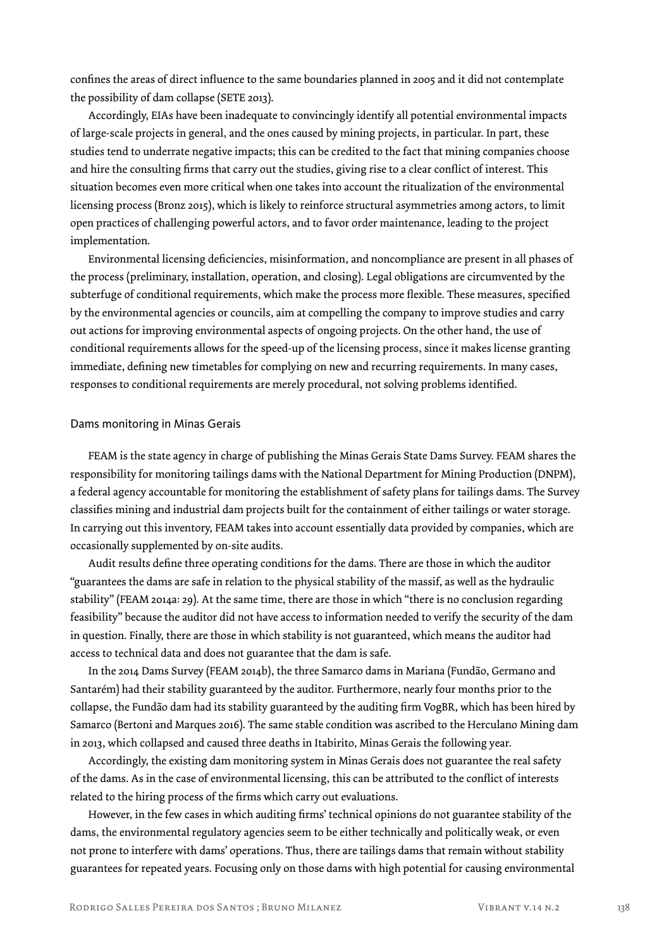confines the areas of direct influence to the same boundaries planned in 2005 and it did not contemplate the possibility of dam collapse (SETE 2013).

Accordingly, EIAs have been inadequate to convincingly identify all potential environmental impacts of large-scale projects in general, and the ones caused by mining projects, in particular. In part, these studies tend to underrate negative impacts; this can be credited to the fact that mining companies choose and hire the consulting firms that carry out the studies, giving rise to a clear conflict of interest. This situation becomes even more critical when one takes into account the ritualization of the environmental licensing process (Bronz 2015), which is likely to reinforce structural asymmetries among actors, to limit open practices of challenging powerful actors, and to favor order maintenance, leading to the project implementation.

Environmental licensing deficiencies, misinformation, and noncompliance are present in all phases of the process (preliminary, installation, operation, and closing). Legal obligations are circumvented by the subterfuge of conditional requirements, which make the process more flexible. These measures, specified by the environmental agencies or councils, aim at compelling the company to improve studies and carry out actions for improving environmental aspects of ongoing projects. On the other hand, the use of conditional requirements allows for the speed-up of the licensing process, since it makes license granting immediate, defining new timetables for complying on new and recurring requirements. In many cases, responses to conditional requirements are merely procedural, not solving problems identified.

#### Dams monitoring in Minas Gerais

FEAM is the state agency in charge of publishing the Minas Gerais State Dams Survey. FEAM shares the responsibility for monitoring tailings dams with the National Department for Mining Production (DNPM), a federal agency accountable for monitoring the establishment of safety plans for tailings dams. The Survey classifies mining and industrial dam projects built for the containment of either tailings or water storage. In carrying out this inventory, FEAM takes into account essentially data provided by companies, which are occasionally supplemented by on-site audits.

Audit results define three operating conditions for the dams. There are those in which the auditor "guarantees the dams are safe in relation to the physical stability of the massif, as well as the hydraulic stability" (FEAM 2014a: 29). At the same time, there are those in which "there is no conclusion regarding feasibility" because the auditor did not have access to information needed to verify the security of the dam in question. Finally, there are those in which stability is not guaranteed, which means the auditor had access to technical data and does not guarantee that the dam is safe.

In the 2014 Dams Survey (FEAM 2014b), the three Samarco dams in Mariana (Fundão, Germano and Santarém) had their stability guaranteed by the auditor. Furthermore, nearly four months prior to the collapse, the Fundão dam had its stability guaranteed by the auditing firm VogBR, which has been hired by Samarco (Bertoni and Marques 2016). The same stable condition was ascribed to the Herculano Mining dam in 2013, which collapsed and caused three deaths in Itabirito, Minas Gerais the following year.

Accordingly, the existing dam monitoring system in Minas Gerais does not guarantee the real safety of the dams. As in the case of environmental licensing, this can be attributed to the conflict of interests related to the hiring process of the firms which carry out evaluations.

However, in the few cases in which auditing firms' technical opinions do not guarantee stability of the dams, the environmental regulatory agencies seem to be either technically and politically weak, or even not prone to interfere with dams' operations. Thus, there are tailings dams that remain without stability guarantees for repeated years. Focusing only on those dams with high potential for causing environmental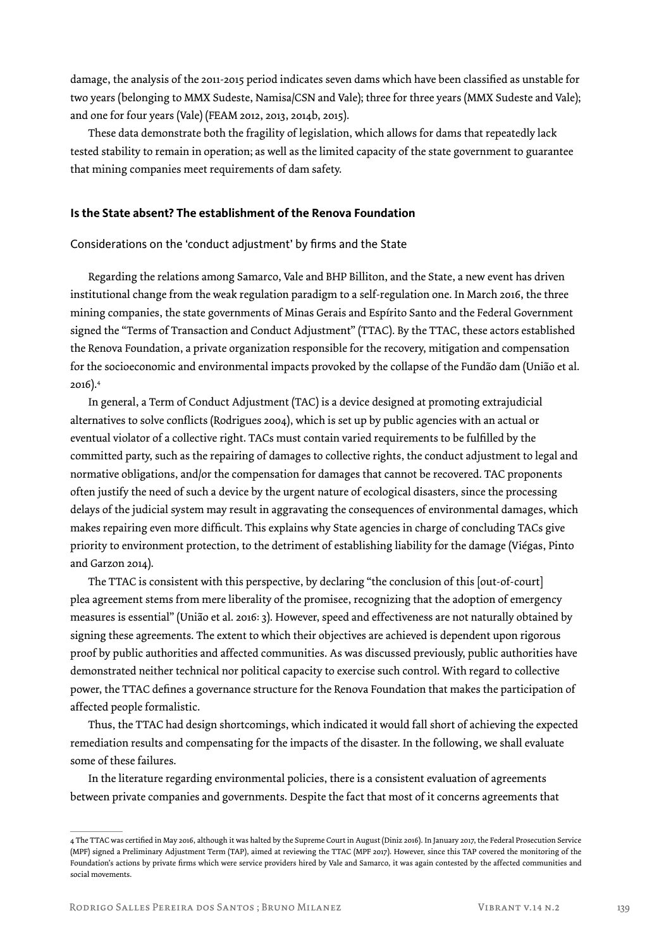damage, the analysis of the 2011-2015 period indicates seven dams which have been classified as unstable for two years (belonging to MMX Sudeste, Namisa/CSN and Vale); three for three years (MMX Sudeste and Vale); and one for four years (Vale) (FEAM 2012, 2013, 2014b, 2015).

These data demonstrate both the fragility of legislation, which allows for dams that repeatedly lack tested stability to remain in operation; as well as the limited capacity of the state government to guarantee that mining companies meet requirements of dam safety.

# **Is the State absent? The establishment of the Renova Foundation**

Considerations on the 'conduct adjustment' by firms and the State

Regarding the relations among Samarco, Vale and BHP Billiton, and the State, a new event has driven institutional change from the weak regulation paradigm to a self-regulation one. In March 2016, the three mining companies, the state governments of Minas Gerais and Espírito Santo and the Federal Government signed the "Terms of Transaction and Conduct Adjustment" (TTAC). By the TTAC, these actors established the Renova Foundation, a private organization responsible for the recovery, mitigation and compensation for the socioeconomic and environmental impacts provoked by the collapse of the Fundão dam (União et al. 2016).4

In general, a Term of Conduct Adjustment (TAC) is a device designed at promoting extrajudicial alternatives to solve conflicts (Rodrigues 2004), which is set up by public agencies with an actual or eventual violator of a collective right. TACs must contain varied requirements to be fulfilled by the committed party, such as the repairing of damages to collective rights, the conduct adjustment to legal and normative obligations, and/or the compensation for damages that cannot be recovered. TAC proponents often justify the need of such a device by the urgent nature of ecological disasters, since the processing delays of the judicial system may result in aggravating the consequences of environmental damages, which makes repairing even more difficult. This explains why State agencies in charge of concluding TACs give priority to environment protection, to the detriment of establishing liability for the damage (Viégas, Pinto and Garzon 2014).

The TTAC is consistent with this perspective, by declaring "the conclusion of this [out-of-court] plea agreement stems from mere liberality of the promisee, recognizing that the adoption of emergency measures is essential" (União et al. 2016: 3). However, speed and effectiveness are not naturally obtained by signing these agreements. The extent to which their objectives are achieved is dependent upon rigorous proof by public authorities and affected communities. As was discussed previously, public authorities have demonstrated neither technical nor political capacity to exercise such control. With regard to collective power, the TTAC defines a governance structure for the Renova Foundation that makes the participation of affected people formalistic.

Thus, the TTAC had design shortcomings, which indicated it would fall short of achieving the expected remediation results and compensating for the impacts of the disaster. In the following, we shall evaluate some of these failures.

In the literature regarding environmental policies, there is a consistent evaluation of agreements between private companies and governments. Despite the fact that most of it concerns agreements that

<sup>4</sup> The TTAC was certified in May 2016, although it was halted by the Supreme Court in August (Diniz 2016). In January 2017, the Federal Prosecution Service (MPF) signed a Preliminary Adjustment Term (TAP), aimed at reviewing the TTAC (MPF 2017). However, since this TAP covered the monitoring of the Foundation's actions by private firms which were service providers hired by Vale and Samarco, it was again contested by the affected communities and social movements.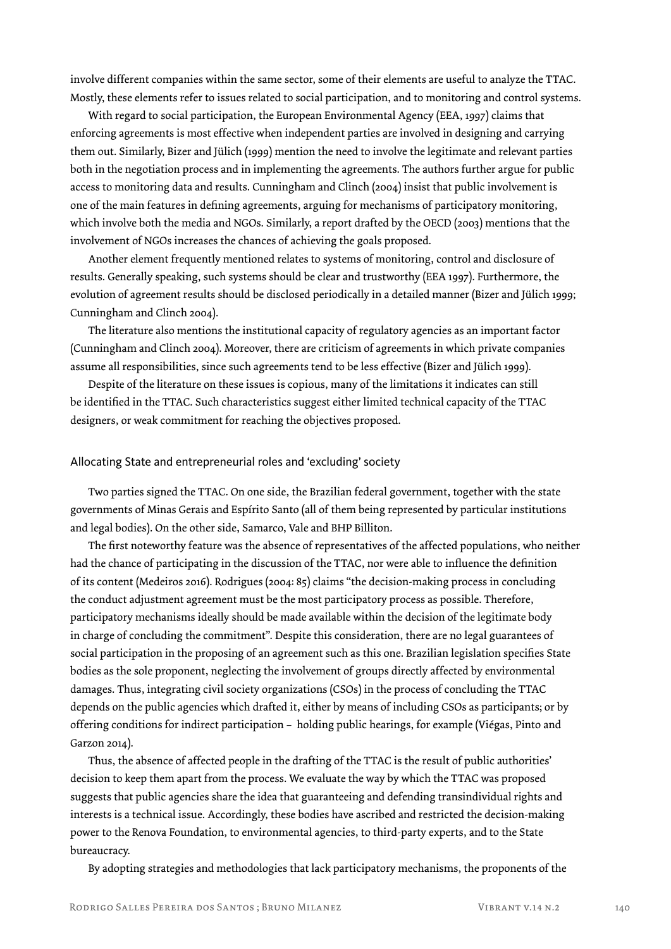involve different companies within the same sector, some of their elements are useful to analyze the TTAC. Mostly, these elements refer to issues related to social participation, and to monitoring and control systems.

With regard to social participation, the European Environmental Agency (EEA, 1997) claims that enforcing agreements is most effective when independent parties are involved in designing and carrying them out. Similarly, Bizer and Jülich (1999) mention the need to involve the legitimate and relevant parties both in the negotiation process and in implementing the agreements. The authors further argue for public access to monitoring data and results. Cunningham and Clinch (2004) insist that public involvement is one of the main features in defining agreements, arguing for mechanisms of participatory monitoring, which involve both the media and NGOs. Similarly, a report drafted by the OECD (2003) mentions that the involvement of NGOs increases the chances of achieving the goals proposed.

Another element frequently mentioned relates to systems of monitoring, control and disclosure of results. Generally speaking, such systems should be clear and trustworthy (EEA 1997). Furthermore, the evolution of agreement results should be disclosed periodically in a detailed manner (Bizer and Jülich 1999; Cunningham and Clinch 2004).

The literature also mentions the institutional capacity of regulatory agencies as an important factor (Cunningham and Clinch 2004). Moreover, there are criticism of agreements in which private companies assume all responsibilities, since such agreements tend to be less effective (Bizer and Jülich 1999).

Despite of the literature on these issues is copious, many of the limitations it indicates can still be identified in the TTAC. Such characteristics suggest either limited technical capacity of the TTAC designers, or weak commitment for reaching the objectives proposed.

### Allocating State and entrepreneurial roles and 'excluding' society

Two parties signed the TTAC. On one side, the Brazilian federal government, together with the state governments of Minas Gerais and Espírito Santo (all of them being represented by particular institutions and legal bodies). On the other side, Samarco, Vale and BHP Billiton.

The first noteworthy feature was the absence of representatives of the affected populations, who neither had the chance of participating in the discussion of the TTAC, nor were able to influence the definition of its content (Medeiros 2016). Rodrigues (2004: 85) claims "the decision-making process in concluding the conduct adjustment agreement must be the most participatory process as possible. Therefore, participatory mechanisms ideally should be made available within the decision of the legitimate body in charge of concluding the commitment". Despite this consideration, there are no legal guarantees of social participation in the proposing of an agreement such as this one. Brazilian legislation specifies State bodies as the sole proponent, neglecting the involvement of groups directly affected by environmental damages. Thus, integrating civil society organizations (CSOs) in the process of concluding the TTAC depends on the public agencies which drafted it, either by means of including CSOs as participants; or by offering conditions for indirect participation – holding public hearings, for example (Viégas, Pinto and Garzon 2014).

Thus, the absence of affected people in the drafting of the TTAC is the result of public authorities' decision to keep them apart from the process. We evaluate the way by which the TTAC was proposed suggests that public agencies share the idea that guaranteeing and defending transindividual rights and interests is a technical issue. Accordingly, these bodies have ascribed and restricted the decision-making power to the Renova Foundation, to environmental agencies, to third-party experts, and to the State bureaucracy.

By adopting strategies and methodologies that lack participatory mechanisms, the proponents of the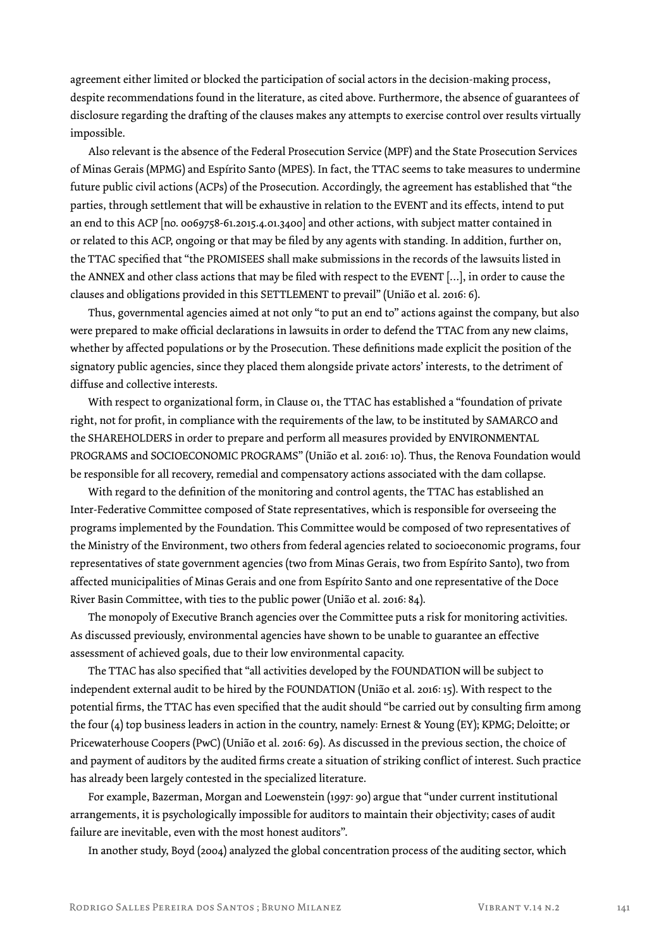agreement either limited or blocked the participation of social actors in the decision-making process, despite recommendations found in the literature, as cited above. Furthermore, the absence of guarantees of disclosure regarding the drafting of the clauses makes any attempts to exercise control over results virtually impossible.

Also relevant is the absence of the Federal Prosecution Service (MPF) and the State Prosecution Services of Minas Gerais (MPMG) and Espírito Santo (MPES). In fact, the TTAC seems to take measures to undermine future public civil actions (ACPs) of the Prosecution. Accordingly, the agreement has established that "the parties, through settlement that will be exhaustive in relation to the EVENT and its effects, intend to put an end to this ACP [no. 0069758-61.2015.4.01.3400] and other actions, with subject matter contained in or related to this ACP, ongoing or that may be filed by any agents with standing. In addition, further on, the TTAC specified that "the PROMISEES shall make submissions in the records of the lawsuits listed in the ANNEX and other class actions that may be filed with respect to the EVENT […], in order to cause the clauses and obligations provided in this SETTLEMENT to prevail" (União et al. 2016: 6).

Thus, governmental agencies aimed at not only "to put an end to" actions against the company, but also were prepared to make official declarations in lawsuits in order to defend the TTAC from any new claims, whether by affected populations or by the Prosecution. These definitions made explicit the position of the signatory public agencies, since they placed them alongside private actors' interests, to the detriment of diffuse and collective interests.

With respect to organizational form, in Clause 01, the TTAC has established a "foundation of private right, not for profit, in compliance with the requirements of the law, to be instituted by SAMARCO and the SHAREHOLDERS in order to prepare and perform all measures provided by ENVIRONMENTAL PROGRAMS and SOCIOECONOMIC PROGRAMS" (União et al. 2016: 10). Thus, the Renova Foundation would be responsible for all recovery, remedial and compensatory actions associated with the dam collapse.

With regard to the definition of the monitoring and control agents, the TTAC has established an Inter-Federative Committee composed of State representatives, which is responsible for overseeing the programs implemented by the Foundation. This Committee would be composed of two representatives of the Ministry of the Environment, two others from federal agencies related to socioeconomic programs, four representatives of state government agencies (two from Minas Gerais, two from Espírito Santo), two from affected municipalities of Minas Gerais and one from Espírito Santo and one representative of the Doce River Basin Committee, with ties to the public power (União et al. 2016: 84).

The monopoly of Executive Branch agencies over the Committee puts a risk for monitoring activities. As discussed previously, environmental agencies have shown to be unable to guarantee an effective assessment of achieved goals, due to their low environmental capacity.

The TTAC has also specified that "all activities developed by the FOUNDATION will be subject to independent external audit to be hired by the FOUNDATION (União et al. 2016: 15). With respect to the potential firms, the TTAC has even specified that the audit should "be carried out by consulting firm among the four (4) top business leaders in action in the country, namely: Ernest & Young (EY); KPMG; Deloitte; or Pricewaterhouse Coopers (PwC) (União et al. 2016: 69). As discussed in the previous section, the choice of and payment of auditors by the audited firms create a situation of striking conflict of interest. Such practice has already been largely contested in the specialized literature.

For example, Bazerman, Morgan and Loewenstein (1997: 90) argue that "under current institutional arrangements, it is psychologically impossible for auditors to maintain their objectivity; cases of audit failure are inevitable, even with the most honest auditors".

In another study, Boyd (2004) analyzed the global concentration process of the auditing sector, which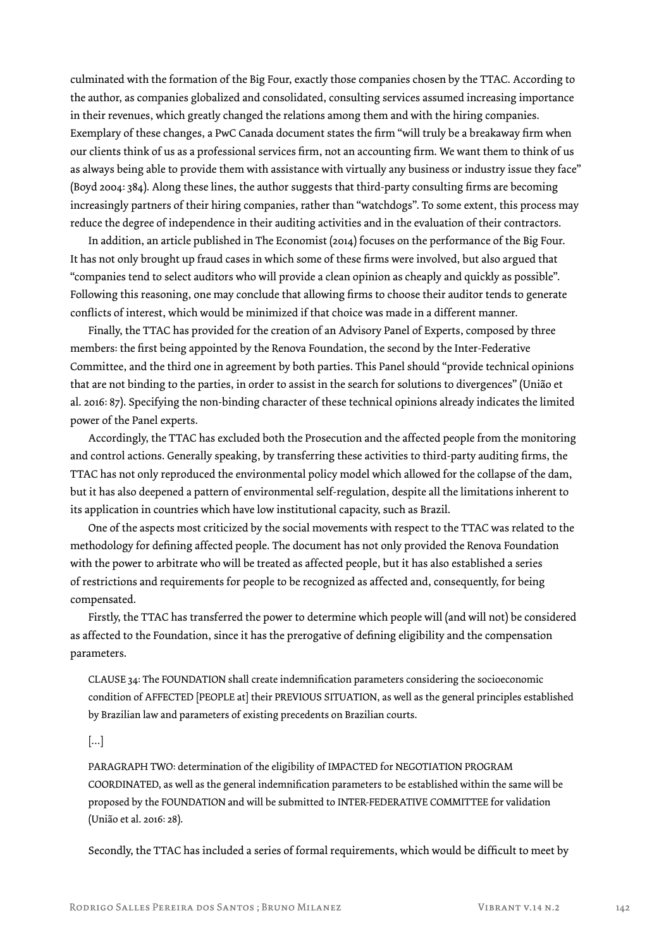culminated with the formation of the Big Four, exactly those companies chosen by the TTAC. According to the author, as companies globalized and consolidated, consulting services assumed increasing importance in their revenues, which greatly changed the relations among them and with the hiring companies. Exemplary of these changes, a PwC Canada document states the firm "will truly be a breakaway firm when our clients think of us as a professional services firm, not an accounting firm. We want them to think of us as always being able to provide them with assistance with virtually any business or industry issue they face" (Boyd 2004: 384). Along these lines, the author suggests that third-party consulting firms are becoming increasingly partners of their hiring companies, rather than "watchdogs". To some extent, this process may reduce the degree of independence in their auditing activities and in the evaluation of their contractors.

In addition, an article published in The Economist (2014) focuses on the performance of the Big Four. It has not only brought up fraud cases in which some of these firms were involved, but also argued that "companies tend to select auditors who will provide a clean opinion as cheaply and quickly as possible". Following this reasoning, one may conclude that allowing firms to choose their auditor tends to generate conflicts of interest, which would be minimized if that choice was made in a different manner.

Finally, the TTAC has provided for the creation of an Advisory Panel of Experts, composed by three members: the first being appointed by the Renova Foundation, the second by the Inter-Federative Committee, and the third one in agreement by both parties. This Panel should "provide technical opinions that are not binding to the parties, in order to assist in the search for solutions to divergences" (União et al. 2016: 87). Specifying the non-binding character of these technical opinions already indicates the limited power of the Panel experts.

Accordingly, the TTAC has excluded both the Prosecution and the affected people from the monitoring and control actions. Generally speaking, by transferring these activities to third-party auditing firms, the TTAC has not only reproduced the environmental policy model which allowed for the collapse of the dam, but it has also deepened a pattern of environmental self-regulation, despite all the limitations inherent to its application in countries which have low institutional capacity, such as Brazil.

One of the aspects most criticized by the social movements with respect to the TTAC was related to the methodology for defining affected people. The document has not only provided the Renova Foundation with the power to arbitrate who will be treated as affected people, but it has also established a series of restrictions and requirements for people to be recognized as affected and, consequently, for being compensated.

Firstly, the TTAC has transferred the power to determine which people will (and will not) be considered as affected to the Foundation, since it has the prerogative of defining eligibility and the compensation parameters.

CLAUSE 34: The FOUNDATION shall create indemnification parameters considering the socioeconomic condition of AFFECTED [PEOPLE at] their PREVIOUS SITUATION, as well as the general principles established by Brazilian law and parameters of existing precedents on Brazilian courts.

## […]

PARAGRAPH TWO: determination of the eligibility of IMPACTED for NEGOTIATION PROGRAM COORDINATED, as well as the general indemnification parameters to be established within the same will be proposed by the FOUNDATION and will be submitted to INTER-FEDERATIVE COMMITTEE for validation (União et al. 2016: 28).

Secondly, the TTAC has included a series of formal requirements, which would be difficult to meet by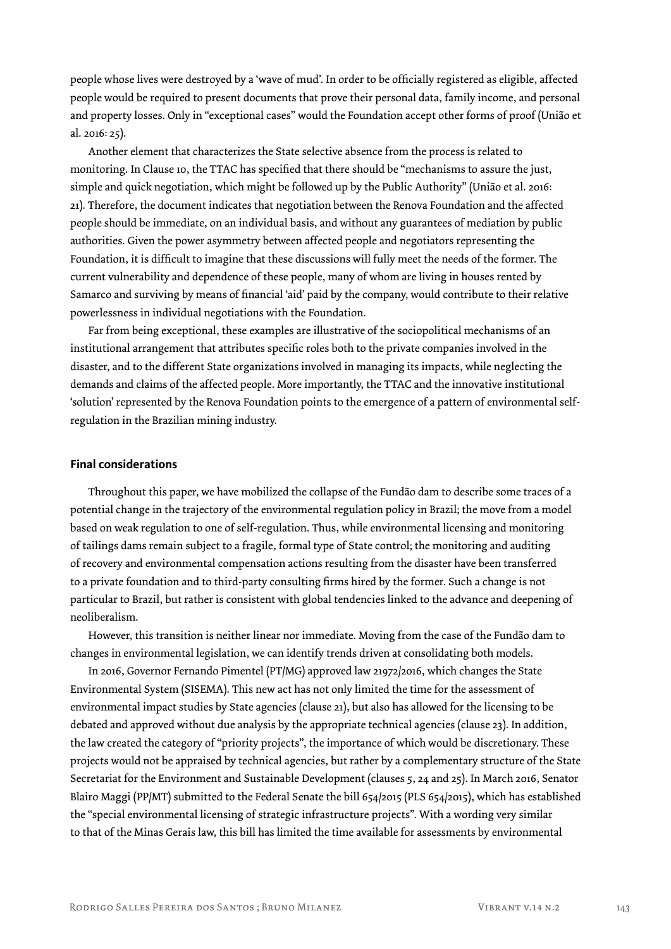people whose lives were destroyed by a 'wave of mud'. In order to be officially registered as eligible, affected people would be required to present documents that prove their personal data, family income, and personal and property losses. Only in "exceptional cases" would the Foundation accept other forms of proof (União et al. 2016: 25).

Another element that characterizes the State selective absence from the process is related to monitoring. In Clause 10, the TTAC has specified that there should be "mechanisms to assure the just, simple and quick negotiation, which might be followed up by the Public Authority" (União et al. 2016: 21). Therefore, the document indicates that negotiation between the Renova Foundation and the affected people should be immediate, on an individual basis, and without any guarantees of mediation by public authorities. Given the power asymmetry between affected people and negotiators representing the Foundation, it is difficult to imagine that these discussions will fully meet the needs of the former. The current vulnerability and dependence of these people, many of whom are living in houses rented by Samarco and surviving by means of financial 'aid' paid by the company, would contribute to their relative powerlessness in individual negotiations with the Foundation.

Far from being exceptional, these examples are illustrative of the sociopolitical mechanisms of an institutional arrangement that attributes specific roles both to the private companies involved in the disaster, and to the different State organizations involved in managing its impacts, while neglecting the demands and claims of the affected people. More importantly, the TTAC and the innovative institutional 'solution' represented by the Renova Foundation points to the emergence of a pattern of environmental selfregulation in the Brazilian mining industry.

#### **Final considerations**

Throughout this paper, we have mobilized the collapse of the Fundão dam to describe some traces of a potential change in the trajectory of the environmental regulation policy in Brazil; the move from a model based on weak regulation to one of self-regulation. Thus, while environmental licensing and monitoring of tailings dams remain subject to a fragile, formal type of State control; the monitoring and auditing of recovery and environmental compensation actions resulting from the disaster have been transferred to a private foundation and to third-party consulting firms hired by the former. Such a change is not particular to Brazil, but rather is consistent with global tendencies linked to the advance and deepening of neoliberalism.

However, this transition is neither linear nor immediate. Moving from the case of the Fundão dam to changes in environmental legislation, we can identify trends driven at consolidating both models.

In 2016, Governor Fernando Pimentel (PT/MG) approved law 21972/2016, which changes the State Environmental System (SISEMA). This new act has not only limited the time for the assessment of environmental impact studies by State agencies (clause 21), but also has allowed for the licensing to be debated and approved without due analysis by the appropriate technical agencies (clause 23). In addition, the law created the category of "priority projects", the importance of which would be discretionary. These projects would not be appraised by technical agencies, but rather by a complementary structure of the State Secretariat for the Environment and Sustainable Development (clauses 5, 24 and 25). In March 2016, Senator Blairo Maggi (PP/MT) submitted to the Federal Senate the bill 654/2015 (PLS 654/2015), which has established the "special environmental licensing of strategic infrastructure projects". With a wording very similar to that of the Minas Gerais law, this bill has limited the time available for assessments by environmental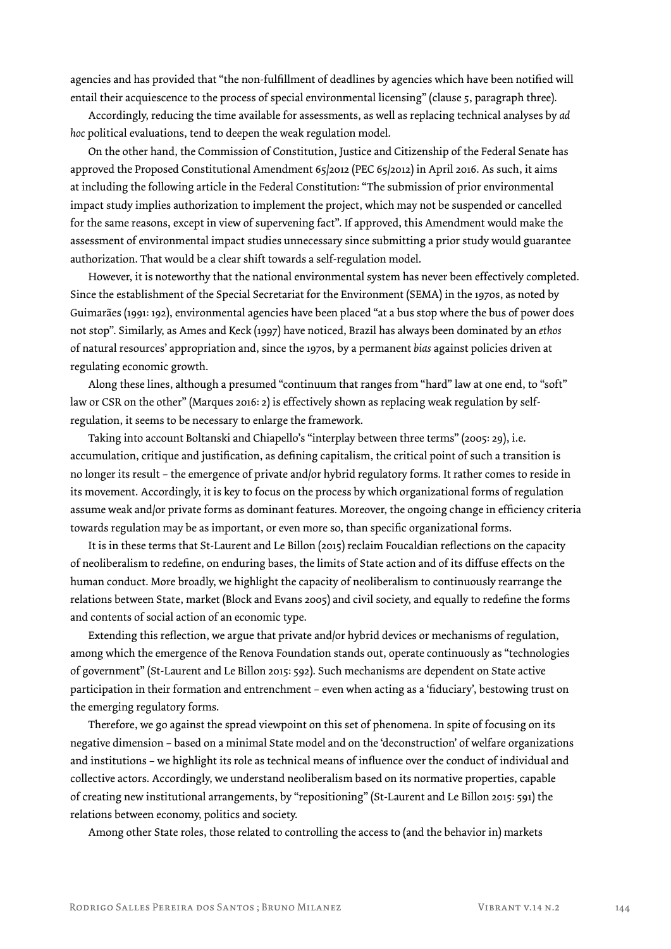agencies and has provided that "the non-fulfillment of deadlines by agencies which have been notified will entail their acquiescence to the process of special environmental licensing" (clause 5, paragraph three).

Accordingly, reducing the time available for assessments, as well as replacing technical analyses by *ad hoc* political evaluations, tend to deepen the weak regulation model.

On the other hand, the Commission of Constitution, Justice and Citizenship of the Federal Senate has approved the Proposed Constitutional Amendment 65/2012 (PEC 65/2012) in April 2016. As such, it aims at including the following article in the Federal Constitution: "The submission of prior environmental impact study implies authorization to implement the project, which may not be suspended or cancelled for the same reasons, except in view of supervening fact". If approved, this Amendment would make the assessment of environmental impact studies unnecessary since submitting a prior study would guarantee authorization. That would be a clear shift towards a self-regulation model.

However, it is noteworthy that the national environmental system has never been effectively completed. Since the establishment of the Special Secretariat for the Environment (SEMA) in the 1970s, as noted by Guimarães (1991: 192), environmental agencies have been placed "at a bus stop where the bus of power does not stop". Similarly, as Ames and Keck (1997) have noticed, Brazil has always been dominated by an *ethos* of natural resources' appropriation and, since the 1970s, by a permanent *bias* against policies driven at regulating economic growth.

Along these lines, although a presumed "continuum that ranges from "hard" law at one end, to "soft" law or CSR on the other" (Marques 2016: 2) is effectively shown as replacing weak regulation by selfregulation, it seems to be necessary to enlarge the framework.

Taking into account Boltanski and Chiapello's "interplay between three terms" (2005: 29), i.e. accumulation, critique and justification, as defining capitalism, the critical point of such a transition is no longer its result – the emergence of private and/or hybrid regulatory forms. It rather comes to reside in its movement. Accordingly, it is key to focus on the process by which organizational forms of regulation assume weak and/or private forms as dominant features. Moreover, the ongoing change in efficiency criteria towards regulation may be as important, or even more so, than specific organizational forms.

It is in these terms that St-Laurent and Le Billon (2015) reclaim Foucaldian reflections on the capacity of neoliberalism to redefine, on enduring bases, the limits of State action and of its diffuse effects on the human conduct. More broadly, we highlight the capacity of neoliberalism to continuously rearrange the relations between State, market (Block and Evans 2005) and civil society, and equally to redefine the forms and contents of social action of an economic type.

Extending this reflection, we argue that private and/or hybrid devices or mechanisms of regulation, among which the emergence of the Renova Foundation stands out, operate continuously as "technologies of government" (St-Laurent and Le Billon 2015: 592). Such mechanisms are dependent on State active participation in their formation and entrenchment – even when acting as a 'fiduciary', bestowing trust on the emerging regulatory forms.

Therefore, we go against the spread viewpoint on this set of phenomena. In spite of focusing on its negative dimension – based on a minimal State model and on the 'deconstruction' of welfare organizations and institutions – we highlight its role as technical means of influence over the conduct of individual and collective actors. Accordingly, we understand neoliberalism based on its normative properties, capable of creating new institutional arrangements, by "repositioning" (St-Laurent and Le Billon 2015: 591) the relations between economy, politics and society.

Among other State roles, those related to controlling the access to (and the behavior in) markets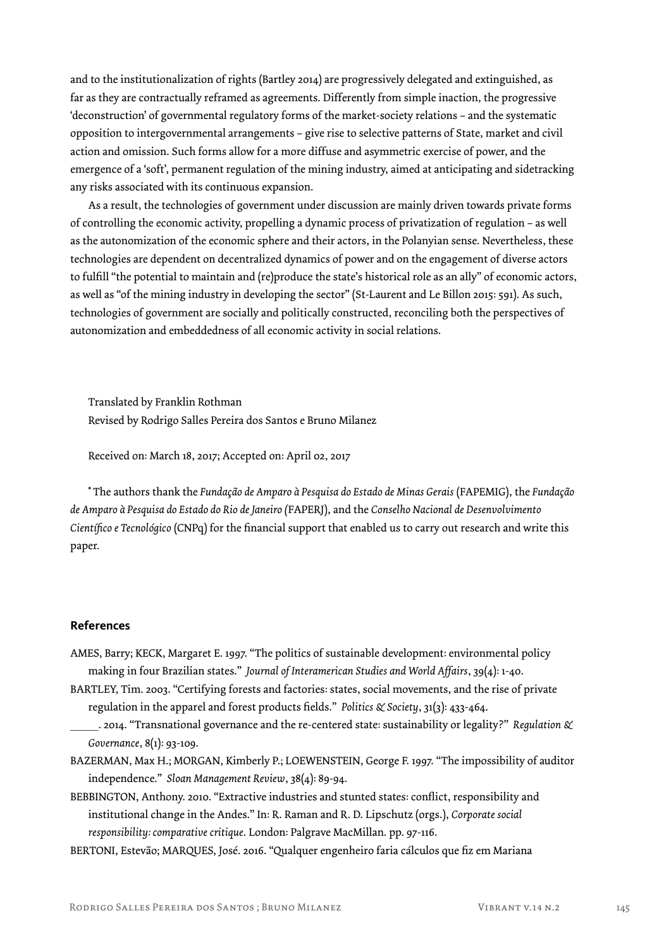and to the institutionalization of rights (Bartley 2014) are progressively delegated and extinguished, as far as they are contractually reframed as agreements. Differently from simple inaction, the progressive 'deconstruction' of governmental regulatory forms of the market-society relations – and the systematic opposition to intergovernmental arrangements – give rise to selective patterns of State, market and civil action and omission. Such forms allow for a more diffuse and asymmetric exercise of power, and the emergence of a 'soft', permanent regulation of the mining industry, aimed at anticipating and sidetracking any risks associated with its continuous expansion.

As a result, the technologies of government under discussion are mainly driven towards private forms of controlling the economic activity, propelling a dynamic process of privatization of regulation – as well as the autonomization of the economic sphere and their actors, in the Polanyian sense. Nevertheless, these technologies are dependent on decentralized dynamics of power and on the engagement of diverse actors to fulfill "the potential to maintain and (re)produce the state's historical role as an ally" of economic actors, as well as "of the mining industry in developing the sector" (St-Laurent and Le Billon 2015: 591). As such, technologies of government are socially and politically constructed, reconciling both the perspectives of autonomization and embeddedness of all economic activity in social relations.

Translated by Franklin Rothman Revised by Rodrigo Salles Pereira dos Santos e Bruno Milanez

Received on: March 18, 2017; Accepted on: April 02, 2017

**\*** The authors thank the *Fundação de Amparo à Pesquisa do Estado de Minas Gerais* (FAPEMIG), the *Fundação de Amparo à Pesquisa do Estado do Rio de Janeiro (*FAPERJ), and the *Conselho Nacional de Desenvolvimento Científico e Tecnológico* (CNPq) for the financial support that enabled us to carry out research and write this paper.

#### **References**

- AMES, Barry; KECK, Margaret E. 1997. "The politics of sustainable development: environmental policy making in four Brazilian states." *Journal of Interamerican Studies and World Affairs*, 39(4): 1-40.
- BARTLEY, Tim. 2003. "Certifying forests and factories: states, social movements, and the rise of private regulation in the apparel and forest products fields." *Politics & Society*, 31(3): 433-464.
	- \_\_\_\_\_. 2014. "Transnational governance and the re-centered state: sustainability or legality?" *Regulation & Governance*, 8(1): 93-109.
- BAZERMAN, Max H.; MORGAN, Kimberly P.; LOEWENSTEIN, George F. 1997. "The impossibility of auditor independence." *Sloan Management Review*, 38(4): 89-94.
- BEBBINGTON, Anthony. 2010. "Extractive industries and stunted states: conflict, responsibility and institutional change in the Andes." In: R. Raman and R. D. Lipschutz (orgs.), *Corporate social responsibility: comparative critique*. London: Palgrave MacMillan. pp. 97-116.
- BERTONI, Estevão; MARQUES, José. 2016. "Qualquer engenheiro faria cálculos que fiz em Mariana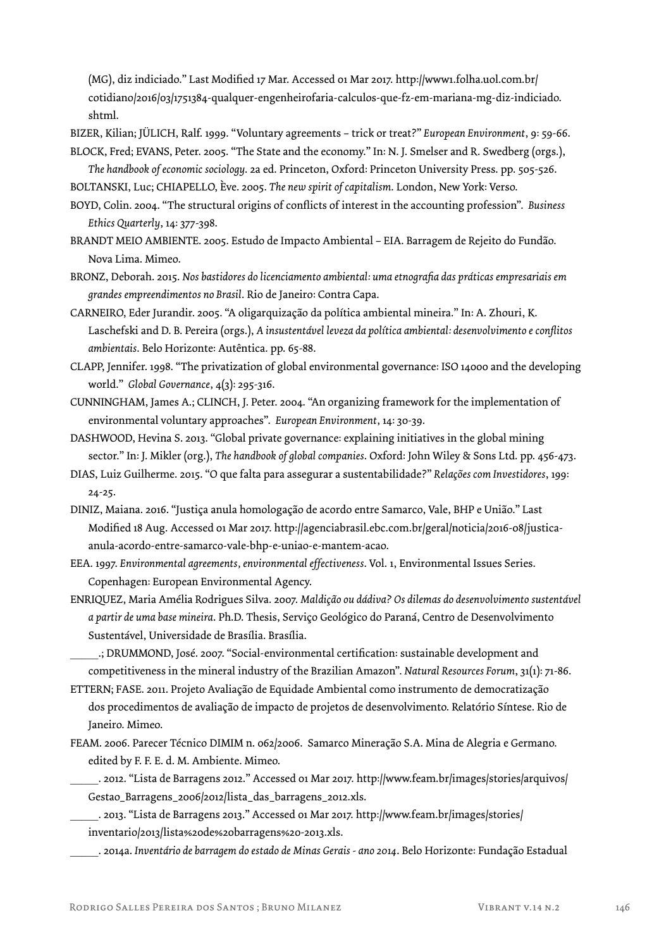(MG), diz indiciado." Last Modified 17 Mar. Accessed 01 Mar 2017. http://www1.folha.uol.com.br/ cotidiano/2016/03/1751384-qualquer-engenheirofaria-calculos-que-fz-em-mariana-mg-diz-indiciado. shtml.

BIZER, Kilian; JÜLICH, Ralf. 1999. "Voluntary agreements – trick or treat?" *European Environment*, 9: 59-66. BLOCK, Fred; EVANS, Peter. 2005. "The State and the economy." In: N. J. Smelser and R. Swedberg (orgs.),

*The handbook of economic sociology*. 2a ed. Princeton, Oxford: Princeton University Press. pp. 505-526. BOLTANSKI, Luc; CHIAPELLO, Ève. 2005. *The new spirit of capitalism*. London, New York: Verso.

- BOYD, Colin. 2004. "The structural origins of conflicts of interest in the accounting profession". *Business Ethics Quarterly*, 14: 377-398.
- BRANDT MEIO AMBIENTE. 2005. Estudo de Impacto Ambiental EIA. Barragem de Rejeito do Fundão. Nova Lima. Mimeo.
- BRONZ, Deborah. 2015. *Nos bastidores do licenciamento ambiental: uma etnografia das práticas empresariais em grandes empreendimentos no Brasil*. Rio de Janeiro: Contra Capa.
- CARNEIRO, Eder Jurandir. 2005. "A oligarquização da política ambiental mineira." In: A. Zhouri, K. Laschefski and D. B. Pereira (orgs.), *A insustentável leveza da política ambiental: desenvolvimento e conflitos ambientais*. Belo Horizonte: Autêntica. pp. 65-88.
- CLAPP, Jennifer. 1998. "The privatization of global environmental governance: ISO 14000 and the developing world." *Global Governance*, 4(3): 295-316.
- CUNNINGHAM, James A.; CLINCH, J. Peter. 2004. "An organizing framework for the implementation of environmental voluntary approaches". *European Environment*, 14: 30-39.
- DASHWOOD, Hevina S. 2013. "Global private governance: explaining initiatives in the global mining sector." In: J. Mikler (org.), *The handbook of global companies*. Oxford: John Wiley & Sons Ltd. pp. 456-473.
- DIAS, Luiz Guilherme. 2015. "O que falta para assegurar a sustentabilidade?" *Relações com Investidores*, 199: 24-25.
- DINIZ, Maiana. 2016. "Justiça anula homologação de acordo entre Samarco, Vale, BHP e União." Last Modified 18 Aug. Accessed 01 Mar 2017. http://agenciabrasil.ebc.com.br/geral/noticia/2016-08/justicaanula-acordo-entre-samarco-vale-bhp-e-uniao-e-mantem-acao.
- EEA. 1997. *Environmental agreements, environmental effectiveness*. Vol. 1, Environmental Issues Series. Copenhagen: European Environmental Agency.
- ENRIQUEZ, Maria Amélia Rodrigues Silva. 2007. *Maldição ou dádiva? Os dilemas do desenvolvimento sustentável a partir de uma base mineira*. Ph.D. Thesis, Serviço Geológico do Paraná, Centro de Desenvolvimento Sustentável, Universidade de Brasília. Brasília.
- \_\_\_\_\_.; DRUMMOND, José. 2007. "Social-environmental certification: sustainable development and competitiveness in the mineral industry of the Brazilian Amazon". *Natural Resources Forum*, 31(1): 71-86.
- ETTERN; FASE. 2011. Projeto Avaliação de Equidade Ambiental como instrumento de democratização dos procedimentos de avaliação de impacto de projetos de desenvolvimento. Relatório Síntese. Rio de Janeiro. Mimeo.
- FEAM. 2006. Parecer Técnico DIMIM n. 062/2006. Samarco Mineração S.A. Mina de Alegria e Germano. edited by F. F. E. d. M. Ambiente. Mimeo.
	- \_\_\_\_\_. 2012. "Lista de Barragens 2012." Accessed 01 Mar 2017. http://www.feam.br/images/stories/arquivos/ Gestao\_Barragens\_2006/2012/lista\_das\_barragens\_2012.xls.
- \_\_\_\_\_. 2013. "Lista de Barragens 2013." Accessed 01 Mar 2017. http://www.feam.br/images/stories/ inventario/2013/lista%20de%20barragens%20-2013.xls.
- \_\_\_\_\_. 2014a. *Inventário de barragem do estado de Minas Gerais ano 2014*. Belo Horizonte: Fundação Estadual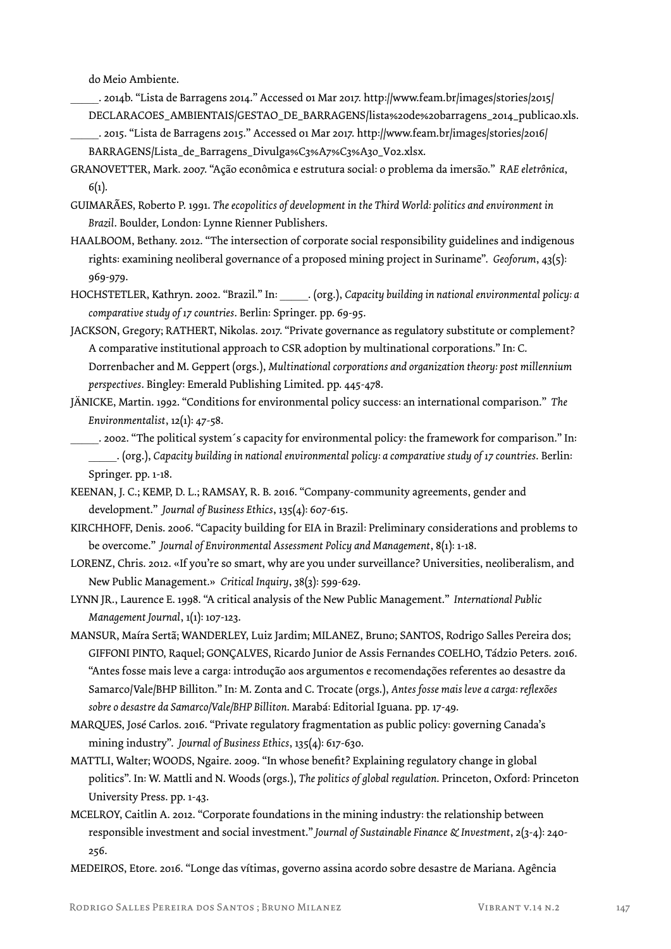do Meio Ambiente.

- \_\_\_\_\_. 2014b. "Lista de Barragens 2014." Accessed 01 Mar 2017. http://www.feam.br/images/stories/2015/ DECLARACOES\_AMBIENTAIS/GESTAO\_DE\_BARRAGENS/lista%20de%20barragens\_2014\_publicao.xls.
- \_\_\_\_\_. 2015. "Lista de Barragens 2015." Accessed 01 Mar 2017. http://www.feam.br/images/stories/2016/ BARRAGENS/Lista\_de\_Barragens\_Divulga%C3%A7%C3%A3o\_V02.xlsx.
- GRANOVETTER, Mark. 2007. "Ação econômica e estrutura social: o problema da imersão." *RAE eletrônica*,  $6(1)$ .
- GUIMARÃES, Roberto P. 1991. *The ecopolitics of development in the Third World: politics and environment in Brazil*. Boulder, London: Lynne Rienner Publishers.
- HAALBOOM, Bethany. 2012. "The intersection of corporate social responsibility guidelines and indigenous rights: examining neoliberal governance of a proposed mining project in Suriname". *Geoforum*, 43(5): 969-979.
- HOCHSTETLER, Kathryn. 2002. "Brazil." In: \_\_\_\_\_. (org.), *Capacity building in national environmental policy: a comparative study of 17 countries*. Berlin: Springer. pp. 69-95.
- JACKSON, Gregory; RATHERT, Nikolas. 2017. "Private governance as regulatory substitute or complement? A comparative institutional approach to CSR adoption by multinational corporations." In: C. Dorrenbacher and M. Geppert (orgs.), *Multinational corporations and organization theory: post millennium perspectives*. Bingley: Emerald Publishing Limited. pp. 445-478.
- JÄNICKE, Martin. 1992. "Conditions for environmental policy success: an international comparison." *The Environmentalist*, 12(1): 47-58.
- . 2002. "The political system's capacity for environmental policy: the framework for comparison." In: \_\_\_\_\_. (org.), *Capacity building in national environmental policy: a comparative study of 17 countries*. Berlin: Springer. pp. 1-18.
- KEENAN, J. C.; KEMP, D. L.; RAMSAY, R. B. 2016. "Company-community agreements, gender and development." *Journal of Business Ethics*, 135(4): 607-615.
- KIRCHHOFF, Denis. 2006. "Capacity building for EIA in Brazil: Preliminary considerations and problems to be overcome." *Journal of Environmental Assessment Policy and Management*, 8(1): 1-18.
- LORENZ, Chris. 2012. «If you're so smart, why are you under surveillance? Universities, neoliberalism, and New Public Management.» *Critical Inquiry*, 38(3): 599-629.
- LYNN JR., Laurence E. 1998. "A critical analysis of the New Public Management." *International Public Management Journal*, 1(1): 107-123.
- MANSUR, Maíra Sertã; WANDERLEY, Luiz Jardim; MILANEZ, Bruno; SANTOS, Rodrigo Salles Pereira dos; GIFFONI PINTO, Raquel; GONÇALVES, Ricardo Junior de Assis Fernandes COELHO, Tádzio Peters. 2016. "Antes fosse mais leve a carga: introdução aos argumentos e recomendações referentes ao desastre da Samarco/Vale/BHP Billiton." In: M. Zonta and C. Trocate (orgs.), *Antes fosse mais leve a carga: reflexões sobre o desastre da Samarco/Vale/BHP Billiton*. Marabá: Editorial Iguana. pp. 17-49.
- MARQUES, José Carlos. 2016. "Private regulatory fragmentation as public policy: governing Canada's mining industry". *Journal of Business Ethics*, 135(4): 617-630.
- MATTLI, Walter; WOODS, Ngaire. 2009. "In whose benefit? Explaining regulatory change in global politics". In: W. Mattli and N. Woods (orgs.), *The politics of global regulation*. Princeton, Oxford: Princeton University Press. pp. 1-43.
- MCELROY, Caitlin A. 2012. "Corporate foundations in the mining industry: the relationship between responsible investment and social investment." *Journal of Sustainable Finance & Investment*, 2(3-4): 240- 256.
- MEDEIROS, Etore. 2016. "Longe das vítimas, governo assina acordo sobre desastre de Mariana. Agência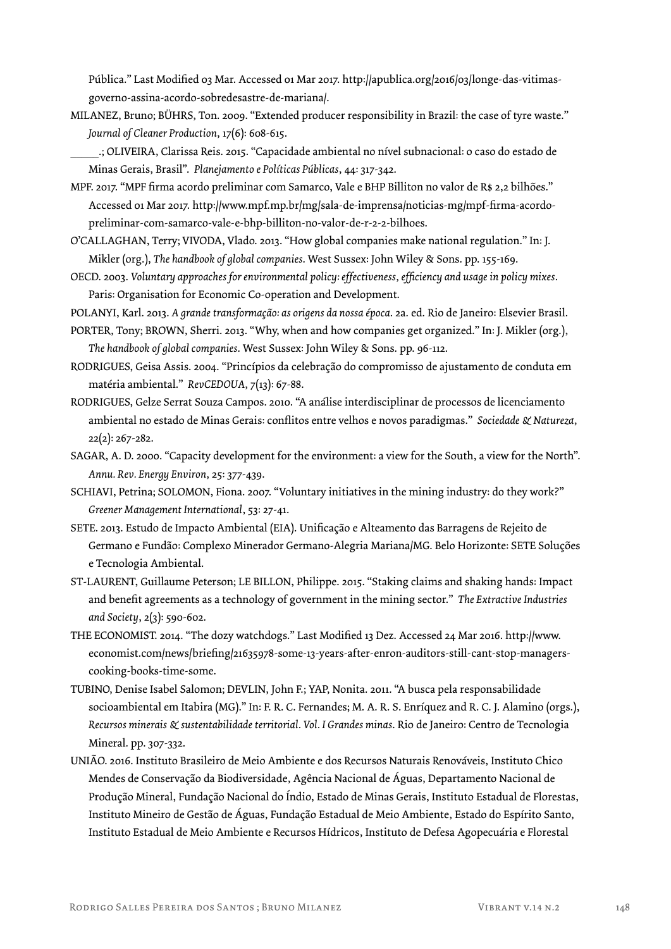Pública." Last Modified 03 Mar. Accessed 01 Mar 2017. http://apublica.org/2016/03/longe-das-vitimasgoverno-assina-acordo-sobredesastre-de-mariana/.

MILANEZ, Bruno; BÜHRS, Ton. 2009. "Extended producer responsibility in Brazil: the case of tyre waste." *Journal of Cleaner Production*, 17(6): 608-615.

\_\_\_\_\_.; OLIVEIRA, Clarissa Reis. 2015. "Capacidade ambiental no nível subnacional: o caso do estado de Minas Gerais, Brasil". *Planejamento e Políticas Públicas*, 44: 317-342.

- MPF. 2017. "MPF firma acordo preliminar com Samarco, Vale e BHP Billiton no valor de R\$ 2,2 bilhões." Accessed 01 Mar 2017. http://www.mpf.mp.br/mg/sala-de-imprensa/noticias-mg/mpf-firma-acordopreliminar-com-samarco-vale-e-bhp-billiton-no-valor-de-r-2-2-bilhoes.
- O'CALLAGHAN, Terry; VIVODA, Vlado. 2013. "How global companies make national regulation." In: J. Mikler (org.), *The handbook of global companies*. West Sussex: John Wiley & Sons. pp. 155-169.
- OECD. 2003. *Voluntary approaches for environmental policy: effectiveness, efficiency and usage in policy mixes*. Paris: Organisation for Economic Co-operation and Development.

POLANYI, Karl. 2013. *A grande transformação: as origens da nossa época*. 2a. ed. Rio de Janeiro: Elsevier Brasil.

- PORTER, Tony; BROWN, Sherri. 2013. "Why, when and how companies get organized." In: J. Mikler (org.), *The handbook of global companies*. West Sussex: John Wiley & Sons. pp. 96-112.
- RODRIGUES, Geisa Assis. 2004. "Princípios da celebração do compromisso de ajustamento de conduta em matéria ambiental." *RevCEDOUA*, 7(13): 67-88.
- RODRIGUES, Gelze Serrat Souza Campos. 2010. "A análise interdisciplinar de processos de licenciamento ambiental no estado de Minas Gerais: conflitos entre velhos e novos paradigmas." *Sociedade & Natureza*, 22(2): 267-282.
- SAGAR, A. D. 2000. "Capacity development for the environment: a view for the South, a view for the North". *Annu. Rev. Energy Environ*, 25: 377-439.
- SCHIAVI, Petrina; SOLOMON, Fiona. 2007. "Voluntary initiatives in the mining industry: do they work?" *Greener Management International*, 53: 27-41.
- SETE. 2013. Estudo de Impacto Ambiental (EIA). Unificação e Alteamento das Barragens de Rejeito de Germano e Fundão: Complexo Minerador Germano-Alegria Mariana/MG. Belo Horizonte: SETE Soluções e Tecnologia Ambiental.
- ST-LAURENT, Guillaume Peterson; LE BILLON, Philippe. 2015. "Staking claims and shaking hands: Impact and benefit agreements as a technology of government in the mining sector." *The Extractive Industries and Society*, 2(3): 590-602.
- THE ECONOMIST. 2014. "The dozy watchdogs." Last Modified 13 Dez. Accessed 24 Mar 2016. http://www. economist.com/news/briefing/21635978-some-13-years-after-enron-auditors-still-cant-stop-managerscooking-books-time-some.
- TUBINO, Denise Isabel Salomon; DEVLIN, John F.; YAP, Nonita. 2011. "A busca pela responsabilidade socioambiental em Itabira (MG)." In: F. R. C. Fernandes; M. A. R. S. Enríquez and R. C. J. Alamino (orgs.), *Recursos minerais & sustentabilidade territorial. Vol. I Grandes minas*. Rio de Janeiro: Centro de Tecnologia Mineral. pp. 307-332.
- UNIÃO. 2016. Instituto Brasileiro de Meio Ambiente e dos Recursos Naturais Renováveis, Instituto Chico Mendes de Conservação da Biodiversidade, Agência Nacional de Águas, Departamento Nacional de Produção Mineral, Fundação Nacional do Índio, Estado de Minas Gerais, Instituto Estadual de Florestas, Instituto Mineiro de Gestão de Águas, Fundação Estadual de Meio Ambiente, Estado do Espírito Santo, Instituto Estadual de Meio Ambiente e Recursos Hídricos, Instituto de Defesa Agopecuária e Florestal